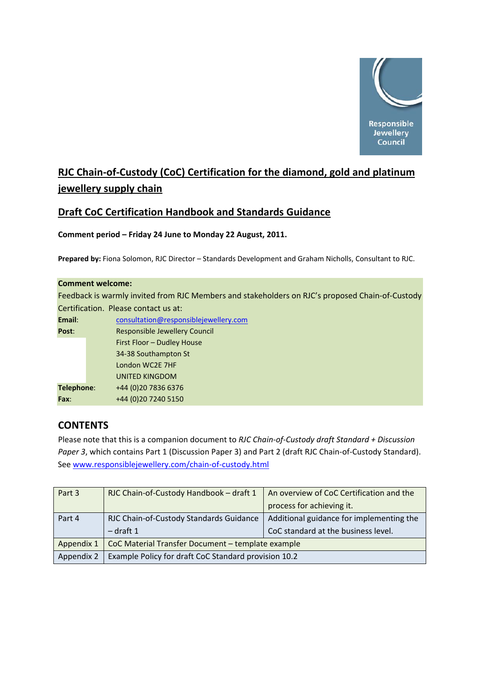

# **RJC Chain‐of‐Custody (CoC) Certification for the diamond, gold and platinum jewellery supply chain**

# **Draft CoC Certification Handbook and Standards Guidance**

# **Comment period – Friday 24 June to Monday 22 August, 2011.**

**Prepared by:** Fiona Solomon, RJC Director – Standards Development and Graham Nicholls, Consultant to RJC.

|            | <b>Comment welcome:</b>                                                                         |
|------------|-------------------------------------------------------------------------------------------------|
|            | Feedback is warmly invited from RJC Members and stakeholders on RJC's proposed Chain-of-Custody |
|            | Certification. Please contact us at:                                                            |
| Email:     | consultation@responsiblejewellery.com                                                           |
| Post:      | Responsible Jewellery Council                                                                   |
|            | First Floor - Dudley House                                                                      |
|            | 34-38 Southampton St                                                                            |
|            | London WC2E 7HF                                                                                 |
|            | <b>UNITED KINGDOM</b>                                                                           |
| Telephone: | +44 (0) 20 7836 6376                                                                            |
| Fax:       | +44 (0) 20 7240 5150                                                                            |

# **CONTENTS**

Please note that this is a companion document to *RJC Chain‐of‐Custody draft Standard + Discussion Paper 3*, which contains Part 1 (Discussion Paper 3) and Part 2 (draft RJC Chain‐of‐Custody Standard). See [www.responsiblejewellery.com/chain](http://www.responsiblejewellery.com/chain-of-custody.html)‐of‐custody.html 

| Part 3     | RJC Chain-of-Custody Handbook - draft 1              | An overview of CoC Certification and the |  |
|------------|------------------------------------------------------|------------------------------------------|--|
|            |                                                      | process for achieving it.                |  |
| Part 4     | RJC Chain-of-Custody Standards Guidance              | Additional guidance for implementing the |  |
|            | $-$ draft 1                                          | CoC standard at the business level.      |  |
| Appendix 1 | CoC Material Transfer Document - template example    |                                          |  |
| Appendix 2 | Example Policy for draft CoC Standard provision 10.2 |                                          |  |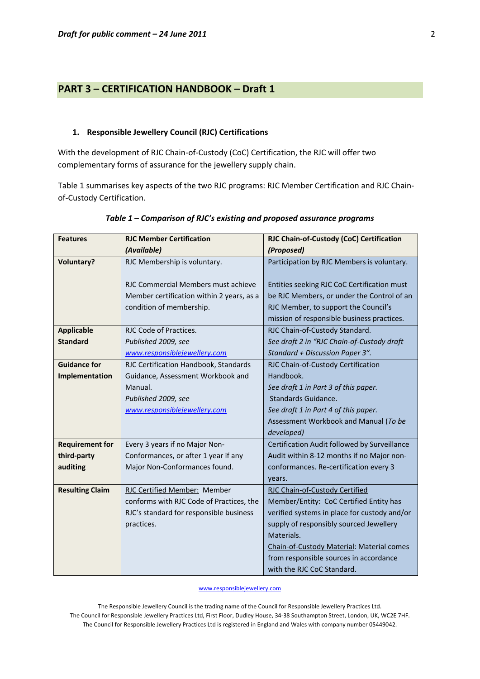# **PART 3 – CERTIFICATION HANDBOOK – Draft 1**

#### **1. Responsible Jewellery Council (RJC) Certifications**

With the development of RJC Chain‐of‐Custody (CoC) Certification, the RJC will offer two complementary forms of assurance for the jewellery supply chain.

Table 1 summarises key aspects of the two RJC programs: RJC Member Certification and RJC Chain‐ of‐Custody Certification.

| <b>Features</b>        | <b>RJC Member Certification</b>           | RJC Chain-of-Custody (CoC) Certification     |
|------------------------|-------------------------------------------|----------------------------------------------|
|                        | (Available)                               | (Proposed)                                   |
| <b>Voluntary?</b>      | RJC Membership is voluntary.              | Participation by RJC Members is voluntary.   |
|                        |                                           |                                              |
|                        | RJC Commercial Members must achieve       | Entities seeking RJC CoC Certification must  |
|                        | Member certification within 2 years, as a | be RJC Members, or under the Control of an   |
|                        | condition of membership.                  | RJC Member, to support the Council's         |
|                        |                                           | mission of responsible business practices.   |
| <b>Applicable</b>      | RJC Code of Practices.                    | RJC Chain-of-Custody Standard.               |
| <b>Standard</b>        | Published 2009, see                       | See draft 2 in "RJC Chain-of-Custody draft   |
|                        | www.responsiblejewellery.com              | Standard + Discussion Paper 3".              |
| <b>Guidance for</b>    | RJC Certification Handbook, Standards     | RJC Chain-of-Custody Certification           |
| Implementation         | Guidance, Assessment Workbook and         | Handbook.                                    |
|                        | Manual.                                   | See draft 1 in Part 3 of this paper.         |
|                        | Published 2009, see                       | <b>Standards Guidance.</b>                   |
|                        | www.responsiblejewellery.com              | See draft 1 in Part 4 of this paper.         |
|                        |                                           | Assessment Workbook and Manual (To be        |
|                        |                                           | developed)                                   |
| <b>Requirement for</b> | Every 3 years if no Major Non-            | Certification Audit followed by Surveillance |
| third-party            | Conformances, or after 1 year if any      | Audit within 8-12 months if no Major non-    |
| auditing               | Major Non-Conformances found.             | conformances. Re-certification every 3       |
|                        |                                           | years.                                       |
| <b>Resulting Claim</b> | RJC Certified Member: Member              | RJC Chain-of-Custody Certified               |
|                        | conforms with RJC Code of Practices, the  | Member/Entity: CoC Certified Entity has      |
|                        | RJC's standard for responsible business   | verified systems in place for custody and/or |
|                        | practices.                                | supply of responsibly sourced Jewellery      |
|                        |                                           | Materials.                                   |
|                        |                                           | Chain-of-Custody Material: Material comes    |
|                        |                                           | from responsible sources in accordance       |
|                        |                                           | with the RJC CoC Standard.                   |

#### *Table 1 – Comparison of RJC's existing and proposed assurance programs*

www.responsiblejewellery.com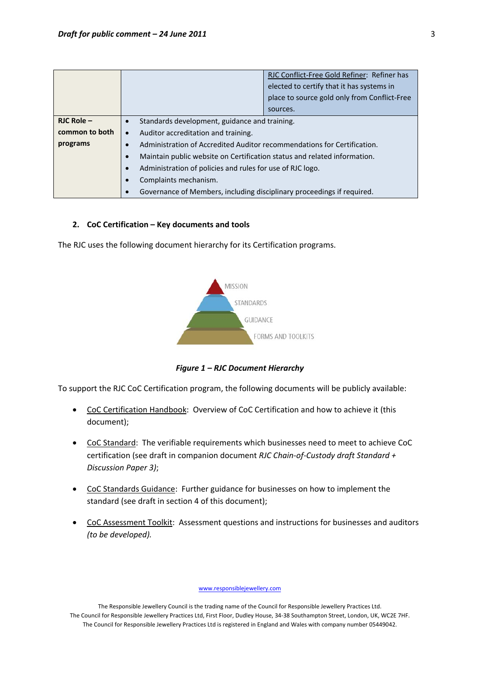|                |                                                                          | RJC Conflict-Free Gold Refiner: Refiner has  |  |  |
|----------------|--------------------------------------------------------------------------|----------------------------------------------|--|--|
|                |                                                                          | elected to certify that it has systems in    |  |  |
|                |                                                                          | place to source gold only from Conflict-Free |  |  |
|                |                                                                          | sources.                                     |  |  |
| $RJC$ Role $-$ | Standards development, guidance and training.<br>$\bullet$               |                                              |  |  |
| common to both | Auditor accreditation and training.<br>$\bullet$                         |                                              |  |  |
| programs       | Administration of Accredited Auditor recommendations for Certification.  |                                              |  |  |
|                | Maintain public website on Certification status and related information. |                                              |  |  |
|                | Administration of policies and rules for use of RJC logo.                |                                              |  |  |
|                | Complaints mechanism.                                                    |                                              |  |  |
|                | Governance of Members, including disciplinary proceedings if required.   |                                              |  |  |

#### **2. CoC Certification – Key documents and tools**

The RJC uses the following document hierarchy for its Certification programs.



*Figure 1 – RJC Document Hierarchy*

To support the RJC CoC Certification program, the following documents will be publicly available:

- CoC Certification Handbook: Overview of CoC Certification and how to achieve it (this document);
- CoC Standard: The verifiable requirements which businesses need to meet to achieve CoC certification (see draft in companion document *RJC Chain‐of‐Custody draft Standard + Discussion Paper 3)*;
- CoC Standards Guidance: Further guidance for businesses on how to implement the standard (see draft in section 4 of this document);
- CoC Assessment Toolkit: Assessment questions and instructions for businesses and auditors *(to be developed).*

www.responsiblejewellery.com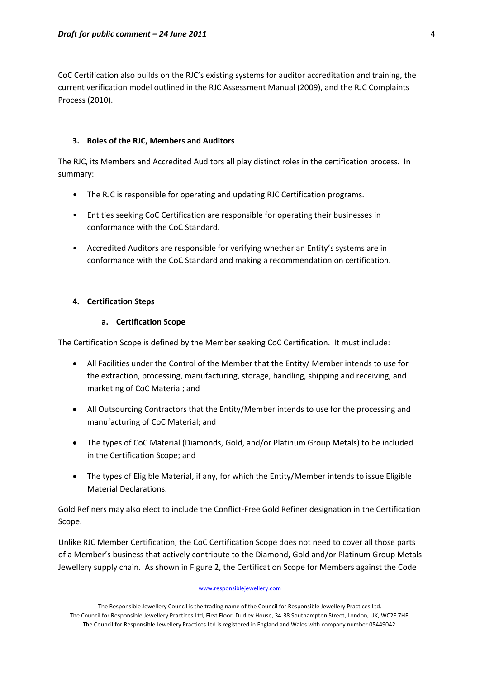CoC Certification also builds on the RJC's existing systems for auditor accreditation and training, the current verification model outlined in the RJC Assessment Manual (2009), and the RJC Complaints Process (2010).

# **3. Roles of the RJC, Members and Auditors**

The RJC, its Members and Accredited Auditors all play distinct roles in the certification process. In summary:

- The RJC is responsible for operating and updating RJC Certification programs.
- Entities seeking CoC Certification are responsible for operating their businesses in conformance with the CoC Standard.
- Accredited Auditors are responsible for verifying whether an Entity's systems are in conformance with the CoC Standard and making a recommendation on certification.

# **4. Certification Steps**

# **a. Certification Scope**

The Certification Scope is defined by the Member seeking CoC Certification. It must include:

- All Facilities under the Control of the Member that the Entity/ Member intends to use for the extraction, processing, manufacturing, storage, handling, shipping and receiving, and marketing of CoC Material; and
- All Outsourcing Contractors that the Entity/Member intends to use for the processing and manufacturing of CoC Material; and
- The types of CoC Material (Diamonds, Gold, and/or Platinum Group Metals) to be included in the Certification Scope; and
- The types of Eligible Material, if any, for which the Entity/Member intends to issue Eligible Material Declarations.

Gold Refiners may also elect to include the Conflict‐Free Gold Refiner designation in the Certification Scope.

Unlike RJC Member Certification, the CoC Certification Scope does not need to cover all those parts of a Member's business that actively contribute to the Diamond, Gold and/or Platinum Group Metals Jewellery supply chain. As shown in Figure 2, the Certification Scope for Members against the Code

#### www.responsiblejewellery.com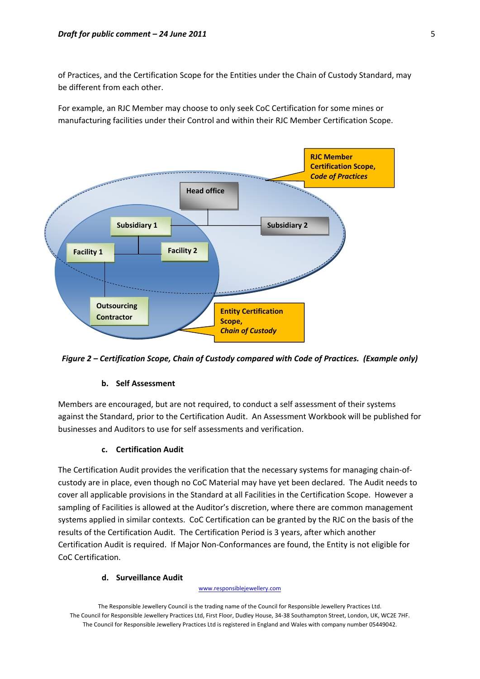of Practices, and the Certification Scope for the Entities under the Chain of Custody Standard, may be different from each other.

For example, an RJC Member may choose to only seek CoC Certification for some mines or manufacturing facilities under their Control and within their RJC Member Certification Scope.



*Figure 2 – Certification Scope, Chain of Custody compared with Code of Practices. (Example only)*

## **b. Self Assessment**

Members are encouraged, but are not required, to conduct a self assessment of their systems against the Standard, prior to the Certification Audit. An Assessment Workbook will be published for businesses and Auditors to use for self assessments and verification.

## **c. Certification Audit**

The Certification Audit provides the verification that the necessary systems for managing chain‐of‐ custody are in place, even though no CoC Material may have yet been declared. The Audit needs to cover all applicable provisions in the Standard at all Facilities in the Certification Scope. However a sampling of Facilities is allowed at the Auditor's discretion, where there are common management systems applied in similar contexts. CoC Certification can be granted by the RJC on the basis of the results of the Certification Audit. The Certification Period is 3 years, after which another Certification Audit is required. If Major Non‐Conformances are found, the Entity is not eligible for CoC Certification.

## **d. Surveillance Audit**

#### www.responsiblejewellery.com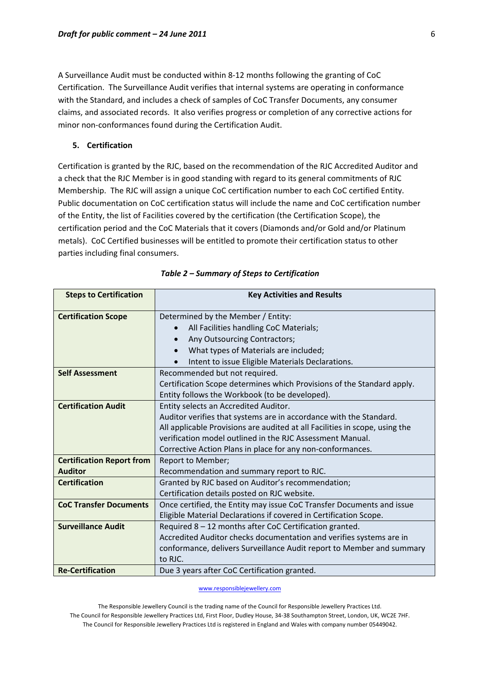A Surveillance Audit must be conducted within 8‐12 months following the granting of CoC Certification. The Surveillance Audit verifies that internal systems are operating in conformance with the Standard, and includes a check of samples of CoC Transfer Documents, any consumer claims, and associated records. It also verifies progress or completion of any corrective actions for minor non‐conformances found during the Certification Audit.

## **5. Certification**

Certification is granted by the RJC, based on the recommendation of the RJC Accredited Auditor and a check that the RJC Member is in good standing with regard to its general commitments of RJC Membership. The RJC will assign a unique CoC certification number to each CoC certified Entity. Public documentation on CoC certification status will include the name and CoC certification number of the Entity, the list of Facilities covered by the certification (the Certification Scope), the certification period and the CoC Materials that it covers (Diamonds and/or Gold and/or Platinum metals). CoC Certified businesses will be entitled to promote their certification status to other parties including final consumers.

| <b>Steps to Certification</b>    | <b>Key Activities and Results</b>                                           |
|----------------------------------|-----------------------------------------------------------------------------|
| <b>Certification Scope</b>       | Determined by the Member / Entity:                                          |
|                                  | All Facilities handling CoC Materials;                                      |
|                                  | Any Outsourcing Contractors;<br>$\bullet$                                   |
|                                  | What types of Materials are included;                                       |
|                                  | Intent to issue Eligible Materials Declarations.                            |
| <b>Self Assessment</b>           | Recommended but not required.                                               |
|                                  | Certification Scope determines which Provisions of the Standard apply.      |
|                                  | Entity follows the Workbook (to be developed).                              |
| <b>Certification Audit</b>       | Entity selects an Accredited Auditor.                                       |
|                                  | Auditor verifies that systems are in accordance with the Standard.          |
|                                  | All applicable Provisions are audited at all Facilities in scope, using the |
|                                  | verification model outlined in the RJC Assessment Manual.                   |
|                                  | Corrective Action Plans in place for any non-conformances.                  |
| <b>Certification Report from</b> | Report to Member;                                                           |
| <b>Auditor</b>                   | Recommendation and summary report to RJC.                                   |
| <b>Certification</b>             | Granted by RJC based on Auditor's recommendation;                           |
|                                  | Certification details posted on RJC website.                                |
| <b>CoC Transfer Documents</b>    | Once certified, the Entity may issue CoC Transfer Documents and issue       |
|                                  | Eligible Material Declarations if covered in Certification Scope.           |
| <b>Surveillance Audit</b>        | Required 8 - 12 months after CoC Certification granted.                     |
|                                  | Accredited Auditor checks documentation and verifies systems are in         |
|                                  | conformance, delivers Surveillance Audit report to Member and summary       |
|                                  | to RJC.                                                                     |
| <b>Re-Certification</b>          | Due 3 years after CoC Certification granted.                                |

| Table 2 - Summary of Steps to Certification |  |  |  |  |
|---------------------------------------------|--|--|--|--|
|---------------------------------------------|--|--|--|--|

www.responsiblejewellery.com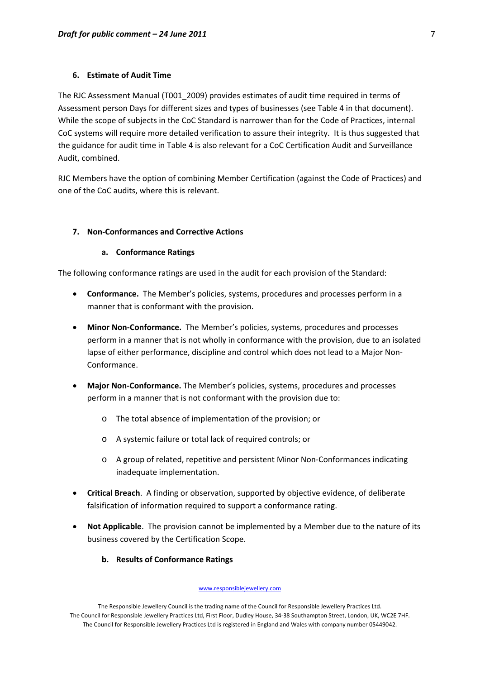### **6. Estimate of Audit Time**

The RJC Assessment Manual (T001\_2009) provides estimates of audit time required in terms of Assessment person Days for different sizes and types of businesses (see Table 4 in that document). While the scope of subjects in the CoC Standard is narrower than for the Code of Practices, internal CoC systems will require more detailed verification to assure their integrity. It is thus suggested that the guidance for audit time in Table 4 is also relevant for a CoC Certification Audit and Surveillance Audit, combined.

RJC Members have the option of combining Member Certification (against the Code of Practices) and one of the CoC audits, where this is relevant.

## **7. Non‐Conformances and Corrective Actions**

#### **a. Conformance Ratings**

The following conformance ratings are used in the audit for each provision of the Standard:

- **Conformance.** The Member's policies, systems, procedures and processes perform in a manner that is conformant with the provision.
- **Minor Non‐Conformance.** The Member's policies, systems, procedures and processes perform in a manner that is not wholly in conformance with the provision, due to an isolated lapse of either performance, discipline and control which does not lead to a Major Non-Conformance.
- **Major Non‐Conformance.** The Member's policies, systems, procedures and processes perform in a manner that is not conformant with the provision due to:
	- o The total absence of implementation of the provision; or
	- o A systemic failure or total lack of required controls; or
	- o A group of related, repetitive and persistent Minor Non‐Conformances indicating inadequate implementation.
- **Critical Breach**. A finding or observation, supported by objective evidence, of deliberate falsification of information required to support a conformance rating.
- **Not Applicable**. The provision cannot be implemented by a Member due to the nature of its business covered by the Certification Scope.
	- **b. Results of Conformance Ratings**

#### www.responsiblejewellery.com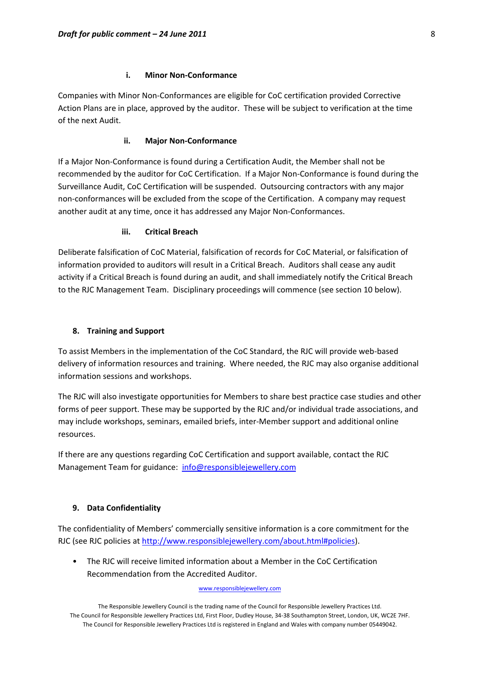### **i. Minor Non‐Conformance**

Companies with Minor Non‐Conformances are eligible for CoC certification provided Corrective Action Plans are in place, approved by the auditor. These will be subject to verification at the time of the next Audit.

### **ii. Major Non‐Conformance**

If a Major Non‐Conformance is found during a Certification Audit, the Member shall not be recommended by the auditor for CoC Certification. If a Major Non‐Conformance is found during the Surveillance Audit, CoC Certification will be suspended. Outsourcing contractors with any major non‐conformances will be excluded from the scope of the Certification. A company may request another audit at any time, once it has addressed any Major Non‐Conformances.

#### **iii. Critical Breach**

Deliberate falsification of CoC Material, falsification of records for CoC Material, or falsification of information provided to auditors will result in a Critical Breach. Auditors shall cease any audit activity if a Critical Breach is found during an audit, and shall immediately notify the Critical Breach to the RJC Management Team. Disciplinary proceedings will commence (see section 10 below).

#### **8. Training and Support**

To assist Members in the implementation of the CoC Standard, the RJC will provide web‐based delivery of information resources and training. Where needed, the RJC may also organise additional information sessions and workshops.

The RJC will also investigate opportunities for Members to share best practice case studies and other forms of peer support. These may be supported by the RJC and/or individual trade associations, and may include workshops, seminars, emailed briefs, inter‐Member support and additional online resources.

If there are any questions regarding CoC Certification and support available, contact the RJC Management Team for guidance: [info@responsiblejewellery.com](mailto:info@responsiblejewellery.com)

## **9. Data Confidentiality**

The confidentiality of Members' commercially sensitive information is a core commitment for the RJC (see RJC policies at <http://www.responsiblejewellery.com/about.html#policies>).

• The RJC will receive limited information about a Member in the CoC Certification Recommendation from the Accredited Auditor.

#### www.responsiblejewellery.com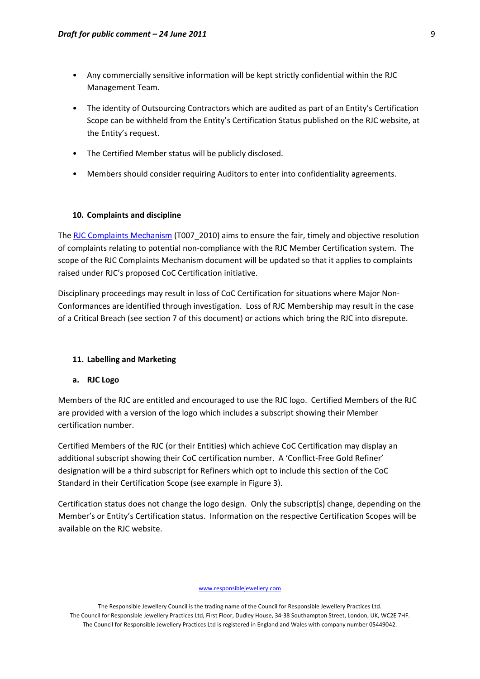- Any commercially sensitive information will be kept strictly confidential within the RJC Management Team.
- The identity of Outsourcing Contractors which are audited as part of an Entity's Certification Scope can be withheld from the Entity's Certification Status published on the RJC website, at the Entity's request.
- The Certified Member status will be publicly disclosed.
- Members should consider requiring Auditors to enter into confidentiality agreements.

#### **10. Complaints and discipline**

The RJC Complaints [Mechanism](http://www.responsiblejewellery.com/certification.html#complaints) (T007 2010) aims to ensure the fair, timely and objective resolution of complaints relating to potential non‐compliance with the RJC Member Certification system. The scope of the RJC Complaints Mechanism document will be updated so that it applies to complaints raised under RJC's proposed CoC Certification initiative.

Disciplinary proceedings may result in loss of CoC Certification for situations where Major Non‐ Conformances are identified through investigation. Loss of RJC Membership may result in the case of a Critical Breach (see section 7 of this document) or actions which bring the RJC into disrepute.

## **11. Labelling and Marketing**

## **a. RJC Logo**

Members of the RJC are entitled and encouraged to use the RJC logo. Certified Members of the RJC are provided with a version of the logo which includes a subscript showing their Member certification number.

Certified Members of the RJC (or their Entities) which achieve CoC Certification may display an additional subscript showing their CoC certification number. A 'Conflict‐Free Gold Refiner' designation will be a third subscript for Refiners which opt to include this section of the CoC Standard in their Certification Scope (see example in Figure 3).

Certification status does not change the logo design. Only the subscript(s) change, depending on the Member's or Entity's Certification status. Information on the respective Certification Scopes will be available on the RJC website.

#### www.responsiblejewellery.com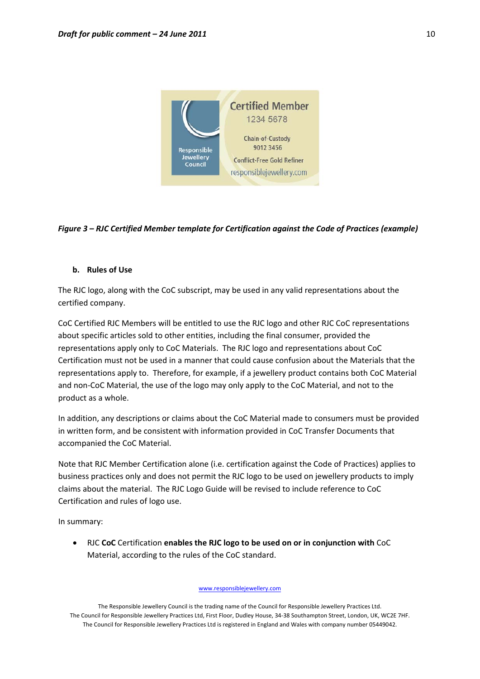

# *Figure 3 – RJC Certified Member template for Certification against the Code of Practices (example)*

#### **b. Rules of Use**

The RJC logo, along with the CoC subscript, may be used in any valid representations about the certified company.

CoC Certified RJC Members will be entitled to use the RJC logo and other RJC CoC representations about specific articles sold to other entities, including the final consumer, provided the representations apply only to CoC Materials. The RJC logo and representations about CoC Certification must not be used in a manner that could cause confusion about the Materials that the representations apply to. Therefore, for example, if a jewellery product contains both CoC Material and non‐CoC Material, the use of the logo may only apply to the CoC Material, and not to the product as a whole.

In addition, any descriptions or claims about the CoC Material made to consumers must be provided in written form, and be consistent with information provided in CoC Transfer Documents that accompanied the CoC Material.

Note that RJC Member Certification alone (i.e. certification against the Code of Practices) applies to business practices only and does not permit the RJC logo to be used on jewellery products to imply claims about the material. The RJC Logo Guide will be revised to include reference to CoC Certification and rules of logo use.

In summary:

• RJC **CoC** Certification **enables the RJC logo to be used on or in conjunction with** CoC Material, according to the rules of the CoC standard.

www.responsiblejewellery.com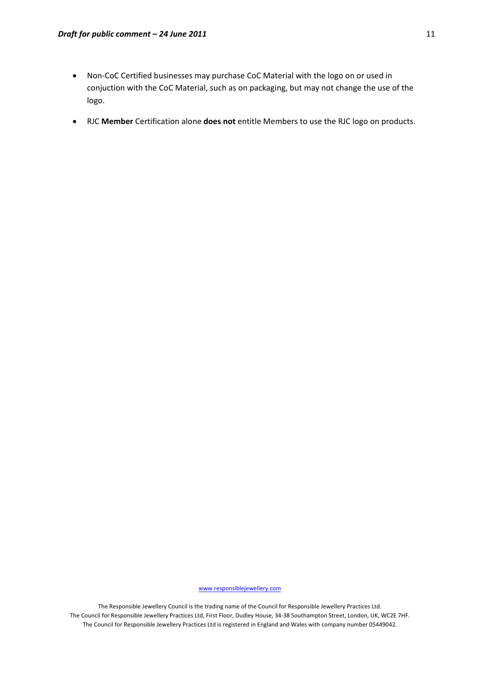- Non‐CoC Certified businesses may purchase CoC Material with the logo on or used in conjuction with the CoC Material, such as on packaging, but may not change the use of the logo.
- RJC **Member** Certification alone **does not** entitle Members to use the RJC logo on products.

www.responsiblejewellery.com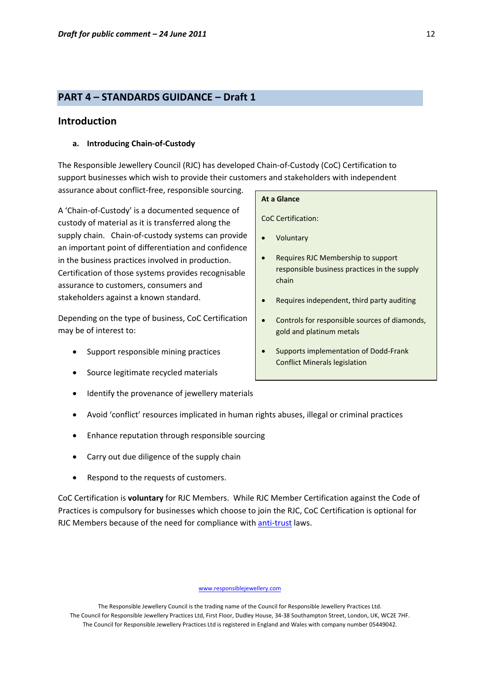# **PART 4 – STANDARDS GUIDANCE – Draft 1**

# **Introduction**

#### **a. Introducing Chain‐of‐Custody**

The Responsible Jewellery Council (RJC) has developed Chain‐of‐Custody (CoC) Certification to support businesses which wish to provide their customers and stakeholders with independent assurance about conflict‐free, responsible sourcing.

A 'Chain‐of‐Custody' is a documented sequence of custody of material as it is transferred along the supply chain. Chain-of-custody systems can provide an important point of differentiation and confidence in the business practices involved in production. Certification of those systems provides recognisable assurance to customers, consumers and stakeholders against a known standard.

Depending on the type of business, CoC Certification may be of interest to:

- Support responsible mining practices
- Source legitimate recycled materials
- Identify the provenance of jewellery materials
- Avoid 'conflict' resources implicated in human rights abuses, illegal or criminal practices
- Enhance reputation through responsible sourcing
- Carry out due diligence of the supply chain
- Respond to the requests of customers.

CoC Certification is **voluntary** for RJC Members. While RJC Member Certification against the Code of Practices is compulsory for businesses which choose to join the RJC, CoC Certification is optional for RJC Members because of the need for compliance with **anti-[trust](http://www.responsiblejewellery.com/downloads/RJC_Antitrust_Policy+Rules_Oct_2008.pdf)** laws.

#### www.responsiblejewellery.com

The Responsible Jewellery Council is the trading name of the Council for Responsible Jewellery Practices Ltd. The Council for Responsible Jewellery Practices Ltd, First Floor, Dudley House, 34‐38 Southampton Street, London, UK, WC2E 7HF. The Council for Responsible Jewellery Practices Ltd is registered in England and Wales with company number 05449042.

#### **At a Glance**

CoC Certification:

- **Voluntary**
- Requires RJC Membership to support responsible business practices in the supply chain
- Requires independent, third party auditing
- Controls for responsible sources of diamonds, gold and platinum metals
- Supports implementation of Dodd‐Frank Conflict Minerals legislation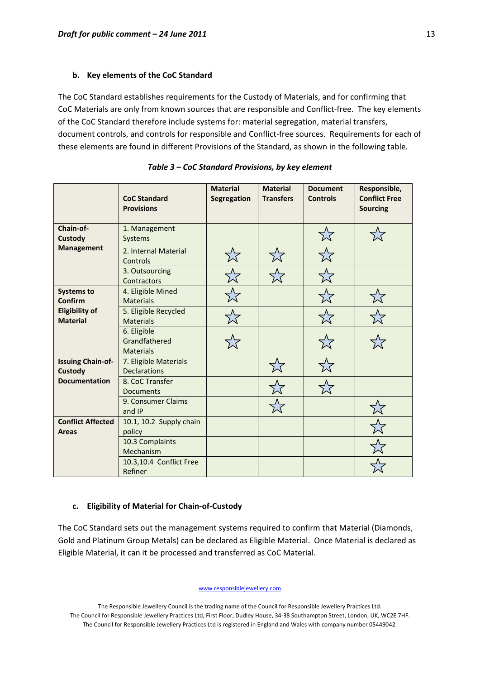#### **b. Key elements of the CoC Standard**

The CoC Standard establishes requirements for the Custody of Materials, and for confirming that CoC Materials are only from known sources that are responsible and Conflict‐free. The key elements of the CoC Standard therefore include systems for: material segregation, material transfers, document controls, and controls for responsible and Conflict-free sources. Requirements for each of these elements are found in different Provisions of the Standard, as shown in the following table.

|                                          | <b>CoC Standard</b><br><b>Provisions</b>         | <b>Material</b><br>Segregation | <b>Material</b><br><b>Transfers</b> | <b>Document</b><br><b>Controls</b> | Responsible,<br><b>Conflict Free</b><br><b>Sourcing</b> |
|------------------------------------------|--------------------------------------------------|--------------------------------|-------------------------------------|------------------------------------|---------------------------------------------------------|
| Chain-of-<br><b>Custody</b>              | 1. Management<br>Systems                         |                                |                                     | $\stackrel{\sim}{\times}$          |                                                         |
| <b>Management</b>                        | 2. Internal Material<br>Controls                 |                                | 7.7                                 | ☆                                  |                                                         |
|                                          | 3. Outsourcing<br>Contractors                    |                                |                                     |                                    |                                                         |
| <b>Systems to</b><br>Confirm             | 4. Eligible Mined<br><b>Materials</b>            |                                |                                     |                                    |                                                         |
| <b>Eligibility of</b><br><b>Material</b> | 5. Eligible Recycled<br><b>Materials</b>         |                                |                                     |                                    |                                                         |
|                                          | 6. Eligible<br>Grandfathered<br><b>Materials</b> |                                |                                     |                                    |                                                         |
| <b>Issuing Chain-of-</b><br>Custody      | 7. Eligible Materials<br><b>Declarations</b>     |                                |                                     |                                    |                                                         |
| <b>Documentation</b>                     | 8. CoC Transfer<br><b>Documents</b>              |                                |                                     |                                    |                                                         |
|                                          | 9. Consumer Claims<br>and IP                     |                                |                                     |                                    |                                                         |
| <b>Conflict Affected</b><br><b>Areas</b> | 10.1, 10.2 Supply chain<br>policy                |                                |                                     |                                    |                                                         |
|                                          | 10.3 Complaints<br>Mechanism                     |                                |                                     |                                    |                                                         |
|                                          | 10.3,10.4 Conflict Free<br>Refiner               |                                |                                     |                                    |                                                         |

# **c. Eligibility of Material for Chain‐of‐Custody**

The CoC Standard sets out the management systems required to confirm that Material (Diamonds, Gold and Platinum Group Metals) can be declared as Eligible Material. Once Material is declared as Eligible Material, it can it be processed and transferred as CoC Material.

www.responsiblejewellery.com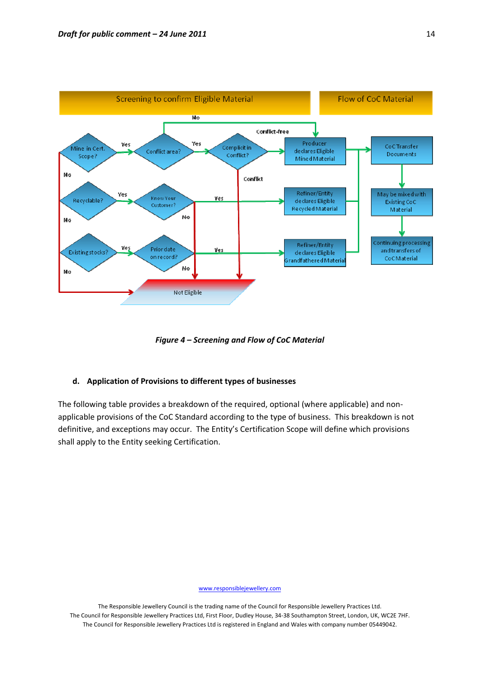

*Figure 4 – Screening and Flow of CoC Material*

# **d. Application of Provisions to different types of businesses**

The following table provides a breakdown of the required, optional (where applicable) and non‐ applicable provisions of the CoC Standard according to the type of business. This breakdown is not definitive, and exceptions may occur. The Entity's Certification Scope will define which provisions shall apply to the Entity seeking Certification.

www.responsiblejewellery.com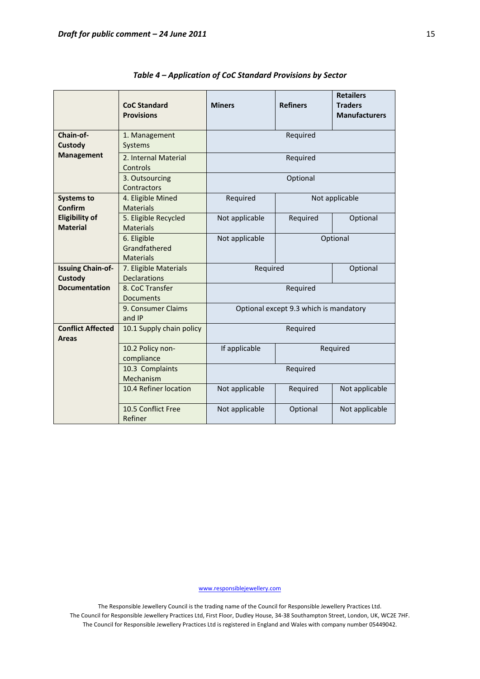|                                                                                                        | <b>CoC Standard</b><br><b>Provisions</b>         | <b>Miners</b>              | <b>Refiners</b>                        | <b>Retailers</b><br><b>Traders</b><br><b>Manufacturers</b> |  |
|--------------------------------------------------------------------------------------------------------|--------------------------------------------------|----------------------------|----------------------------------------|------------------------------------------------------------|--|
| Chain-of-<br><b>Custody</b>                                                                            | 1. Management<br>Systems                         | Required                   |                                        |                                                            |  |
| <b>Management</b>                                                                                      | 2. Internal Material<br>Controls                 |                            | Required                               |                                                            |  |
|                                                                                                        | 3. Outsourcing<br>Contractors                    | Optional                   |                                        |                                                            |  |
| <b>Systems to</b><br><b>Confirm</b>                                                                    | 4. Eligible Mined<br><b>Materials</b>            | Required                   |                                        | Not applicable                                             |  |
| <b>Eligibility of</b><br><b>Material</b>                                                               | 5. Eligible Recycled<br><b>Materials</b>         | Not applicable<br>Required |                                        | Optional                                                   |  |
|                                                                                                        | 6. Eligible<br>Grandfathered<br><b>Materials</b> | Not applicable             | Optional                               |                                                            |  |
| <b>Issuing Chain-of-</b><br>Required<br>7. Eligible Materials<br><b>Custody</b><br><b>Declarations</b> |                                                  |                            | Optional                               |                                                            |  |
| <b>Documentation</b>                                                                                   | 8. CoC Transfer<br><b>Documents</b>              | Required                   |                                        |                                                            |  |
|                                                                                                        | 9. Consumer Claims<br>and IP                     |                            | Optional except 9.3 which is mandatory |                                                            |  |
| <b>Conflict Affected</b><br><b>Areas</b>                                                               | 10.1 Supply chain policy                         |                            | Required                               |                                                            |  |
|                                                                                                        | 10.2 Policy non-<br>compliance                   | If applicable              |                                        | Required                                                   |  |
|                                                                                                        | 10.3 Complaints<br>Mechanism                     |                            | Required                               |                                                            |  |
|                                                                                                        | 10.4 Refiner location                            | Not applicable             | Required                               | Not applicable                                             |  |
|                                                                                                        | 10.5 Conflict Free<br>Refiner                    | Not applicable             | Optional                               | Not applicable                                             |  |

*Table 4 – Application of CoC Standard Provisions by Sector*

www.responsiblejewellery.com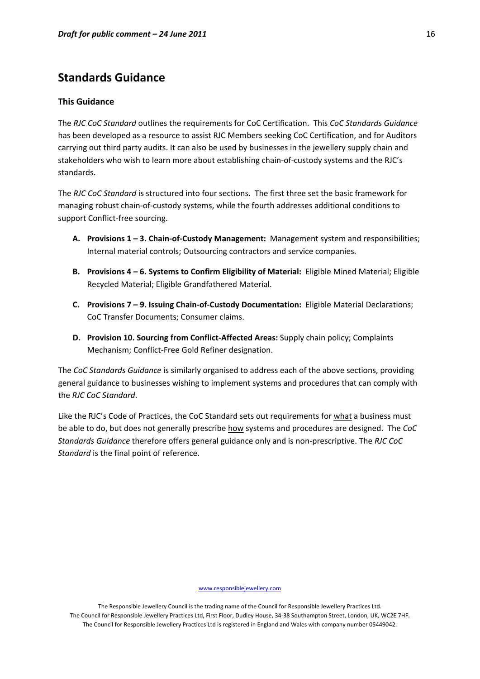# **Standards Guidance**

#### **This Guidance**

The *RJC CoC Standard* outlines the requirements for CoC Certification. This *CoC Standards Guidance* has been developed as a resource to assist RJC Members seeking CoC Certification, and for Auditors carrying out third party audits. It can also be used by businesses in the jewellery supply chain and stakeholders who wish to learn more about establishing chain-of-custody systems and the RJC's standards.

The *RJC CoC Standard* is structured into four sections*.* The first three set the basic framework for managing robust chain‐of‐custody systems, while the fourth addresses additional conditions to support Conflict‐free sourcing.

- **A. Provisions 1 – 3. Chain‐of‐Custody Management:** Management system and responsibilities; Internal material controls; Outsourcing contractors and service companies.
- **B. Provisions 4 – 6. Systems to Confirm Eligibility of Material:** Eligible Mined Material; Eligible Recycled Material; Eligible Grandfathered Material.
- **C. Provisions 7 – 9. Issuing Chain‐of‐Custody Documentation:** Eligible Material Declarations; CoC Transfer Documents; Consumer claims.
- **D. Provision 10. Sourcing from Conflict‐Affected Areas:** Supply chain policy; Complaints Mechanism; Conflict‐Free Gold Refiner designation.

The *CoC Standards Guidance* is similarly organised to address each of the above sections, providing general guidance to businesses wishing to implement systems and procedures that can comply with the *RJC CoC Standard*.

Like the RJC's Code of Practices, the CoC Standard sets out requirements for what a business must be able to do, but does not generally prescribe how systems and procedures are designed. The *CoC Standards Guidance* therefore offers general guidance only and is non‐prescriptive. The *RJC CoC Standard* is the final point of reference.

www.responsiblejewellery.com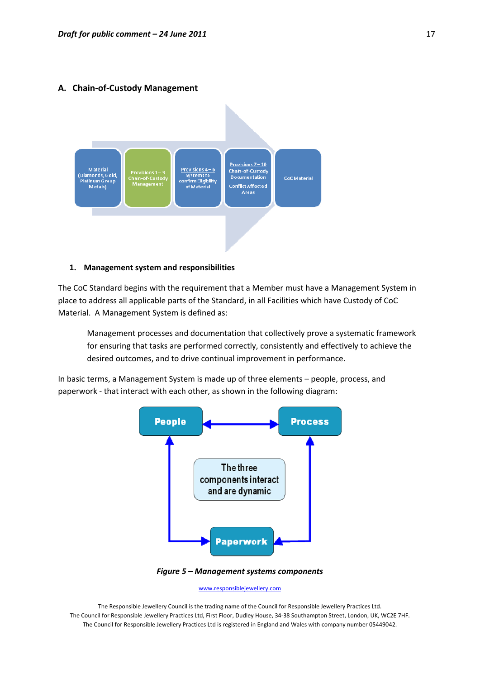#### **A. Chain‐of‐Custody Management**



#### **1. Management system and responsibilities**

The CoC Standard begins with the requirement that a Member must have a Management System in place to address all applicable parts of the Standard, in all Facilities which have Custody of CoC Material. A Management System is defined as:

Management processes and documentation that collectively prove a systematic framework for ensuring that tasks are performed correctly, consistently and effectively to achieve the desired outcomes, and to drive continual improvement in performance.

In basic terms, a Management System is made up of three elements – people, process, and paperwork ‐ that interact with each other, as shown in the following diagram:



*Figure 5 – Management systems components*

www.responsiblejewellery.com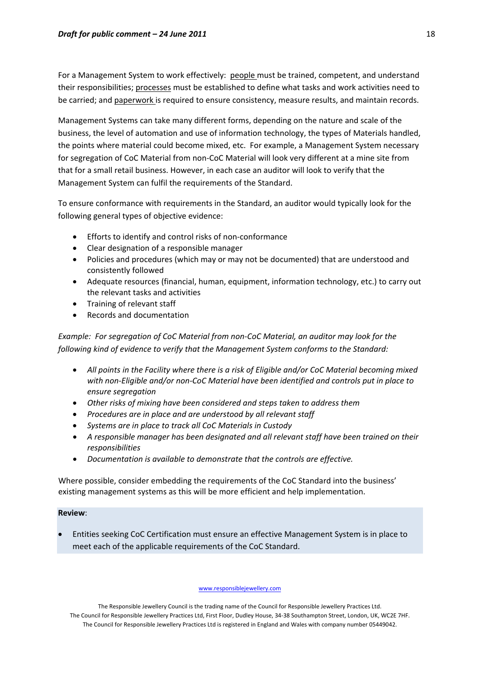For a Management System to work effectively: people must be trained, competent, and understand their responsibilities; processes must be established to define what tasks and work activities need to be carried; and paperwork is required to ensure consistency, measure results, and maintain records.

Management Systems can take many different forms, depending on the nature and scale of the business, the level of automation and use of information technology, the types of Materials handled, the points where material could become mixed, etc. For example, a Management System necessary for segregation of CoC Material from non-CoC Material will look very different at a mine site from that for a small retail business. However, in each case an auditor will look to verify that the Management System can fulfil the requirements of the Standard.

To ensure conformance with requirements in the Standard, an auditor would typically look for the following general types of objective evidence:

- Efforts to identify and control risks of non‐conformance
- Clear designation of a responsible manager
- Policies and procedures (which may or may not be documented) that are understood and consistently followed
- Adequate resources (financial, human, equipment, information technology, etc.) to carry out the relevant tasks and activities
- Training of relevant staff
- Records and documentation

*Example: For segregation of CoC Material from non‐CoC Material, an auditor may look for the following kind of evidence to verify that the Management System conforms to the Standard:*

- *All points in the Facility where there is a risk of Eligible and/or CoC Material becoming mixed with non‐Eligible and/or non‐CoC Material have been identified and controls put in place to ensure segregation*
- *Other risks of mixing have been considered and steps taken to address them*
- *Procedures are in place and are understood by all relevant staff*
- *Systems are in place to track all CoC Materials in Custody*
- *A responsible manager has been designated and all relevant staff have been trained on their responsibilities*
- *Documentation is available to demonstrate that the controls are effective.*

Where possible, consider embedding the requirements of the CoC Standard into the business' existing management systems as this will be more efficient and help implementation.

# **Review**:

• Entities seeking CoC Certification must ensure an effective Management System is in place to meet each of the applicable requirements of the CoC Standard.

www.responsiblejewellery.com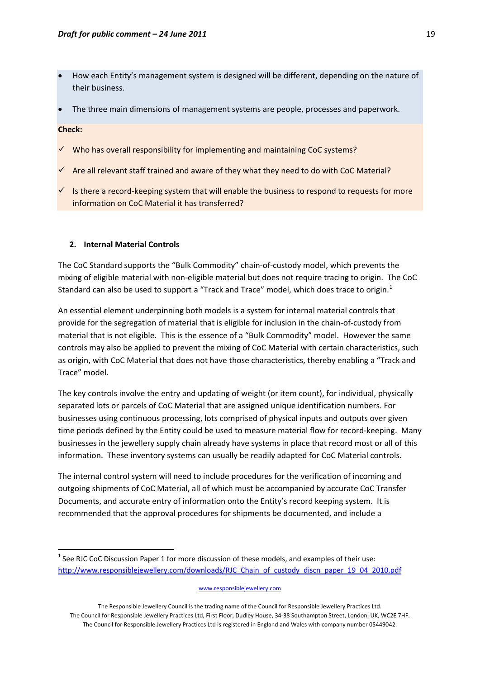- How each Entity's management system is designed will be different, depending on the nature of their business.
- The three main dimensions of management systems are people, processes and paperwork.

#### **Check:**

- $\checkmark$  Who has overall responsibility for implementing and maintaining CoC systems?
- $\checkmark$  Are all relevant staff trained and aware of they what they need to do with CoC Material?
- $\checkmark$  Is there a record-keeping system that will enable the business to respond to requests for more information on CoC Material it has transferred?

#### **2. Internal Material Controls**

The CoC Standard supports the "Bulk Commodity" chain‐of‐custody model, which prevents the mixing of eligible material with non‐eligible material but does not require tracing to origin. The CoC Standard can also be used to support a "Track and Trace" model, which does trace to origin.<sup>[1](#page-18-0)</sup>

An essential element underpinning both models is a system for internal material controls that provide for the segregation of material that is eligible for inclusion in the chain‐of‐custody from material that is not eligible. This is the essence of a "Bulk Commodity" model. However the same controls may also be applied to prevent the mixing of CoC Material with certain characteristics, such as origin, with CoC Material that does not have those characteristics, thereby enabling a "Track and Trace" model.

The key controls involve the entry and updating of weight (or item count), for individual, physically separated lots or parcels of CoC Material that are assigned unique identification numbers. For businesses using continuous processing, lots comprised of physical inputs and outputs over given time periods defined by the Entity could be used to measure material flow for record-keeping. Many businesses in the jewellery supply chain already have systems in place that record most or all of this information. These inventory systems can usually be readily adapted for CoC Material controls.

The internal control system will need to include procedures for the verification of incoming and outgoing shipments of CoC Material, all of which must be accompanied by accurate CoC Transfer Documents, and accurate entry of information onto the Entity's record keeping system. It is recommended that the approval procedures for shipments be documented, and include a

#### www.responsiblejewellery.com

<span id="page-18-0"></span> $1$  See RJC CoC Discussion Paper 1 for more discussion of these models, and examples of their use: [http://www.responsiblejewellery.com/downloads/RJC\\_Chain\\_of\\_custody\\_discn\\_paper\\_19\\_04\\_2010.pdf](http://www.responsiblejewellery.com/downloads/RJC_Chain_of_custody_discn_paper_19_04_2010.pdf)

The Responsible Jewellery Council is the trading name of the Council for Responsible Jewellery Practices Ltd. The Council for Responsible Jewellery Practices Ltd, First Floor, Dudley House, 34‐38 Southampton Street, London, UK, WC2E 7HF. The Council for Responsible Jewellery Practices Ltd is registered in England and Wales with company number 05449042.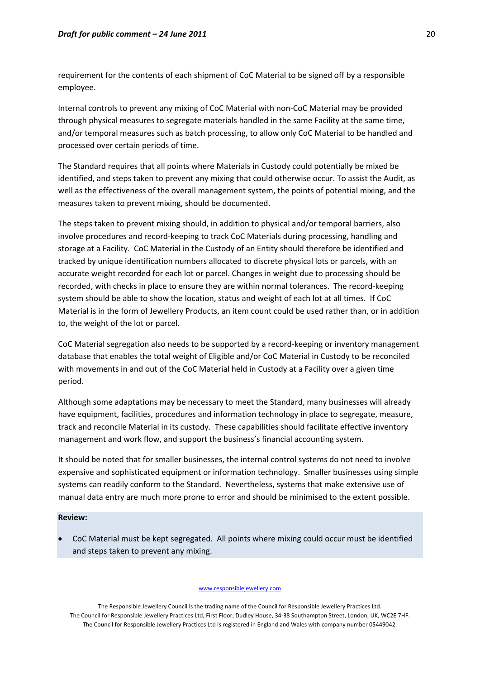requirement for the contents of each shipment of CoC Material to be signed off by a responsible employee.

Internal controls to prevent any mixing of CoC Material with non‐CoC Material may be provided through physical measures to segregate materials handled in the same Facility at the same time, and/or temporal measures such as batch processing, to allow only CoC Material to be handled and processed over certain periods of time.

The Standard requires that all points where Materials in Custody could potentially be mixed be identified, and steps taken to prevent any mixing that could otherwise occur. To assist the Audit, as well as the effectiveness of the overall management system, the points of potential mixing, and the measures taken to prevent mixing, should be documented.

The steps taken to prevent mixing should, in addition to physical and/or temporal barriers, also involve procedures and record‐keeping to track CoC Materials during processing, handling and storage at a Facility. CoC Material in the Custody of an Entity should therefore be identified and tracked by unique identification numbers allocated to discrete physical lots or parcels, with an accurate weight recorded for each lot or parcel. Changes in weight due to processing should be recorded, with checks in place to ensure they are within normal tolerances. The record-keeping system should be able to show the location, status and weight of each lot at all times. If CoC Material is in the form of Jewellery Products, an item count could be used rather than, or in addition to, the weight of the lot or parcel.

CoC Material segregation also needs to be supported by a record‐keeping or inventory management database that enables the total weight of Eligible and/or CoC Material in Custody to be reconciled with movements in and out of the CoC Material held in Custody at a Facility over a given time period.

Although some adaptations may be necessary to meet the Standard, many businesses will already have equipment, facilities, procedures and information technology in place to segregate, measure, track and reconcile Material in its custody. These capabilities should facilitate effective inventory management and work flow, and support the business's financial accounting system.

It should be noted that for smaller businesses, the internal control systems do not need to involve expensive and sophisticated equipment or information technology. Smaller businesses using simple systems can readily conform to the Standard. Nevertheless, systems that make extensive use of manual data entry are much more prone to error and should be minimised to the extent possible.

#### **Review:**

• CoC Material must be kept segregated. All points where mixing could occur must be identified and steps taken to prevent any mixing.

#### www.responsiblejewellery.com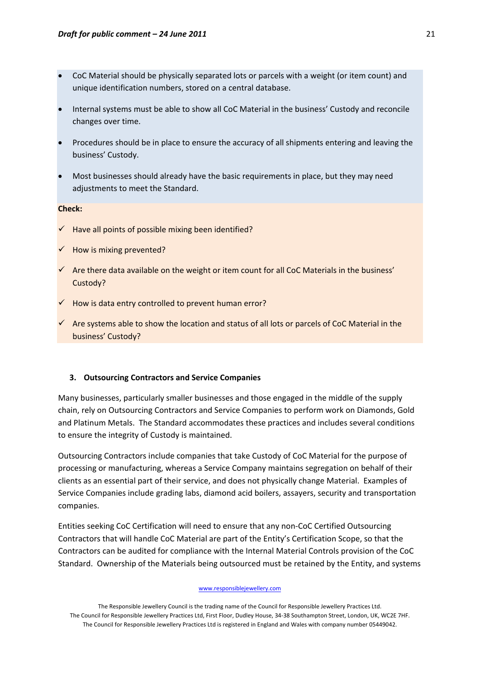- CoC Material should be physically separated lots or parcels with a weight (or item count) and unique identification numbers, stored on a central database.
- Internal systems must be able to show all CoC Material in the business' Custody and reconcile changes over time.
- Procedures should be in place to ensure the accuracy of all shipments entering and leaving the business' Custody.
- Most businesses should already have the basic requirements in place, but they may need adjustments to meet the Standard.

### **Check:**

- $\checkmark$  Have all points of possible mixing been identified?
- $\checkmark$  How is mixing prevented?
- $\checkmark$  Are there data available on the weight or item count for all CoC Materials in the business' Custody?
- $\checkmark$  How is data entry controlled to prevent human error?
- $\checkmark$  Are systems able to show the location and status of all lots or parcels of CoC Material in the business' Custody?

## **3. Outsourcing Contractors and Service Companies**

Many businesses, particularly smaller businesses and those engaged in the middle of the supply chain, rely on Outsourcing Contractors and Service Companies to perform work on Diamonds, Gold and Platinum Metals. The Standard accommodates these practices and includes several conditions to ensure the integrity of Custody is maintained.

Outsourcing Contractors include companies that take Custody of CoC Material for the purpose of processing or manufacturing, whereas a Service Company maintains segregation on behalf of their clients as an essential part of their service, and does not physically change Material. Examples of Service Companies include grading labs, diamond acid boilers, assayers, security and transportation companies.

Entities seeking CoC Certification will need to ensure that any non‐CoC Certified Outsourcing Contractors that will handle CoC Material are part of the Entity's Certification Scope, so that the Contractors can be audited for compliance with the Internal Material Controls provision of the CoC Standard. Ownership of the Materials being outsourced must be retained by the Entity, and systems

#### www.responsiblejewellery.com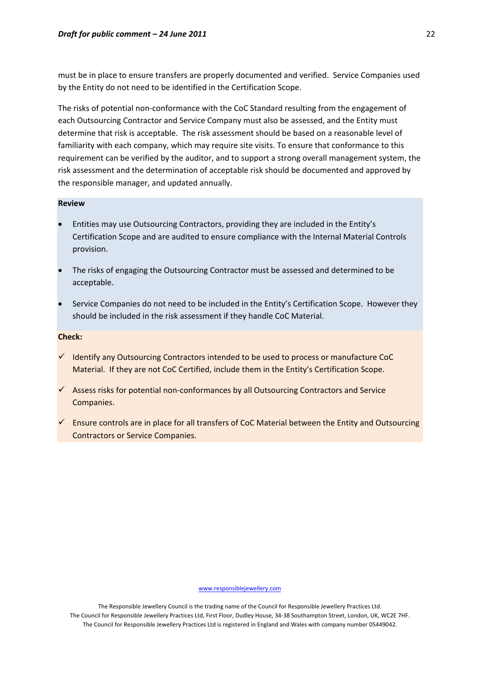must be in place to ensure transfers are properly documented and verified. Service Companies used by the Entity do not need to be identified in the Certification Scope.

The risks of potential non-conformance with the CoC Standard resulting from the engagement of each Outsourcing Contractor and Service Company must also be assessed, and the Entity must determine that risk is acceptable. The risk assessment should be based on a reasonable level of familiarity with each company, which may require site visits. To ensure that conformance to this requirement can be verified by the auditor, and to support a strong overall management system, the risk assessment and the determination of acceptable risk should be documented and approved by the responsible manager, and updated annually.

#### **Review**

- Entities may use Outsourcing Contractors, providing they are included in the Entity's Certification Scope and are audited to ensure compliance with the Internal Material Controls provision.
- The risks of engaging the Outsourcing Contractor must be assessed and determined to be acceptable.
- Service Companies do not need to be included in the Entity's Certification Scope. However they should be included in the risk assessment if they handle CoC Material.

#### **Check:**

- $\checkmark$  Identify any Outsourcing Contractors intended to be used to process or manufacture CoC Material. If they are not CoC Certified, include them in the Entity's Certification Scope.
- $\checkmark$  Assess risks for potential non-conformances by all Outsourcing Contractors and Service Companies.
- $\checkmark$  Ensure controls are in place for all transfers of CoC Material between the Entity and Outsourcing Contractors or Service Companies.

www.responsiblejewellery.com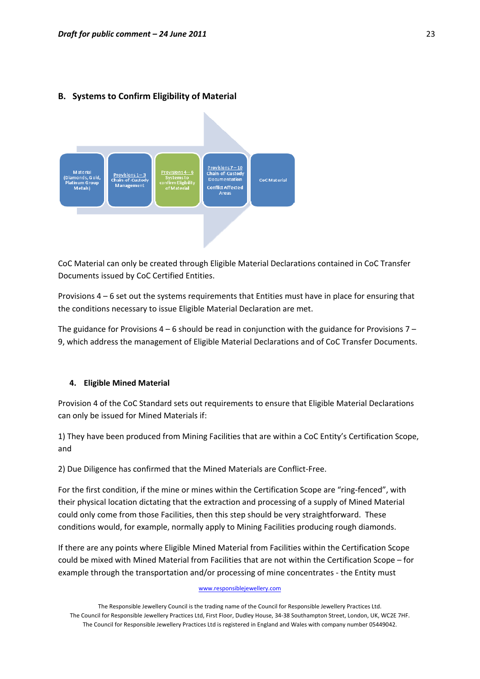# **B. Systems to Confirm Eligibility of Material**



CoC Material can only be created through Eligible Material Declarations contained in CoC Transfer Documents issued by CoC Certified Entities.

Provisions 4 – 6 set out the systems requirements that Entities must have in place for ensuring that the conditions necessary to issue Eligible Material Declaration are met.

The guidance for Provisions  $4 - 6$  should be read in conjunction with the guidance for Provisions  $7 -$ 9, which address the management of Eligible Material Declarations and of CoC Transfer Documents.

#### **4. Eligible Mined Material**

Provision 4 of the CoC Standard sets out requirements to ensure that Eligible Material Declarations can only be issued for Mined Materials if:

1) They have been produced from Mining Facilities that are within a CoC Entity's Certification Scope, and

2) Due Diligence has confirmed that the Mined Materials are Conflict‐Free.

For the first condition, if the mine or mines within the Certification Scope are "ring‐fenced", with their physical location dictating that the extraction and processing of a supply of Mined Material could only come from those Facilities, then this step should be very straightforward. These conditions would, for example, normally apply to Mining Facilities producing rough diamonds.

If there are any points where Eligible Mined Material from Facilities within the Certification Scope could be mixed with Mined Material from Facilities that are not within the Certification Scope – for example through the transportation and/or processing of mine concentrates - the Entity must

#### www.responsiblejewellery.com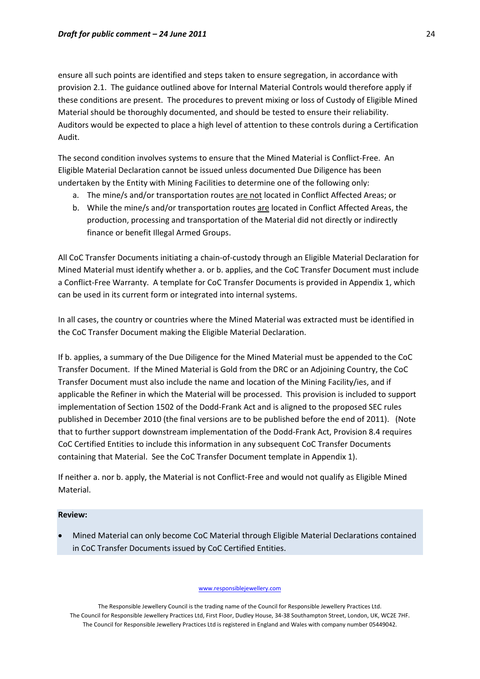ensure all such points are identified and steps taken to ensure segregation, in accordance with provision 2.1. The guidance outlined above for Internal Material Controls would therefore apply if these conditions are present. The procedures to prevent mixing or loss of Custody of Eligible Mined Material should be thoroughly documented, and should be tested to ensure their reliability. Auditors would be expected to place a high level of attention to these controls during a Certification Audit.

The second condition involves systems to ensure that the Mined Material is Conflict‐Free. An Eligible Material Declaration cannot be issued unless documented Due Diligence has been undertaken by the Entity with Mining Facilities to determine one of the following only:

- a. The mine/s and/or transportation routes are not located in Conflict Affected Areas; or
- b. While the mine/s and/or transportation routes are located in Conflict Affected Areas, the production, processing and transportation of the Material did not directly or indirectly finance or benefit Illegal Armed Groups.

All CoC Transfer Documents initiating a chain‐of‐custody through an Eligible Material Declaration for Mined Material must identify whether a. or b. applies, and the CoC Transfer Document must include a Conflict-Free Warranty. A template for CoC Transfer Documents is provided in Appendix 1, which can be used in its current form or integrated into internal systems.

In all cases, the country or countries where the Mined Material was extracted must be identified in the CoC Transfer Document making the Eligible Material Declaration.

If b. applies, a summary of the Due Diligence for the Mined Material must be appended to the CoC Transfer Document. If the Mined Material is Gold from the DRC or an Adjoining Country, the CoC Transfer Document must also include the name and location of the Mining Facility/ies, and if applicable the Refiner in which the Material will be processed. This provision is included to support implementation of Section 1502 of the Dodd-Frank Act and is aligned to the proposed SEC rules published in December 2010 (the final versions are to be published before the end of 2011). (Note that to further support downstream implementation of the Dodd‐Frank Act, Provision 8.4 requires CoC Certified Entities to include this information in any subsequent CoC Transfer Documents containing that Material. See the CoC Transfer Document template in Appendix 1).

If neither a. nor b. apply, the Material is not Conflict‐Free and would not qualify as Eligible Mined Material.

## **Review:**

• Mined Material can only become CoC Material through Eligible Material Declarations contained in CoC Transfer Documents issued by CoC Certified Entities.

www.responsiblejewellery.com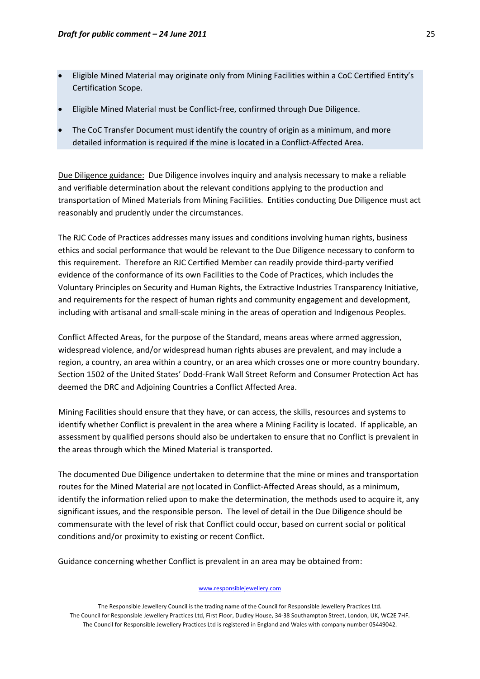- Eligible Mined Material may originate only from Mining Facilities within a CoC Certified Entity's Certification Scope.
- Eligible Mined Material must be Conflict‐free, confirmed through Due Diligence.
- The CoC Transfer Document must identify the country of origin as a minimum, and more detailed information is required if the mine is located in a Conflict‐Affected Area.

Due Diligence guidance: Due Diligence involves inquiry and analysis necessary to make a reliable and verifiable determination about the relevant conditions applying to the production and transportation of Mined Materials from Mining Facilities. Entities conducting Due Diligence must act reasonably and prudently under the circumstances.

The RJC Code of Practices addresses many issues and conditions involving human rights, business ethics and social performance that would be relevant to the Due Diligence necessary to conform to this requirement. Therefore an RJC Certified Member can readily provide third‐party verified evidence of the conformance of its own Facilities to the Code of Practices, which includes the Voluntary Principles on Security and Human Rights, the Extractive Industries Transparency Initiative, and requirements for the respect of human rights and community engagement and development, including with artisanal and small‐scale mining in the areas of operation and Indigenous Peoples.

Conflict Affected Areas, for the purpose of the Standard, means areas where armed aggression, widespread violence, and/or widespread human rights abuses are prevalent, and may include a region, a country, an area within a country, or an area which crosses one or more country boundary. Section 1502 of the United States' Dodd‐Frank Wall Street Reform and Consumer Protection Act has deemed the DRC and Adjoining Countries a Conflict Affected Area.

Mining Facilities should ensure that they have, or can access, the skills, resources and systems to identify whether Conflict is prevalent in the area where a Mining Facility is located. If applicable, an assessment by qualified persons should also be undertaken to ensure that no Conflict is prevalent in the areas through which the Mined Material is transported.

The documented Due Diligence undertaken to determine that the mine or mines and transportation routes for the Mined Material are not located in Conflict-Affected Areas should, as a minimum, identify the information relied upon to make the determination, the methods used to acquire it, any significant issues, and the responsible person. The level of detail in the Due Diligence should be commensurate with the level of risk that Conflict could occur, based on current social or political conditions and/or proximity to existing or recent Conflict.

Guidance concerning whether Conflict is prevalent in an area may be obtained from:

#### www.responsiblejewellery.com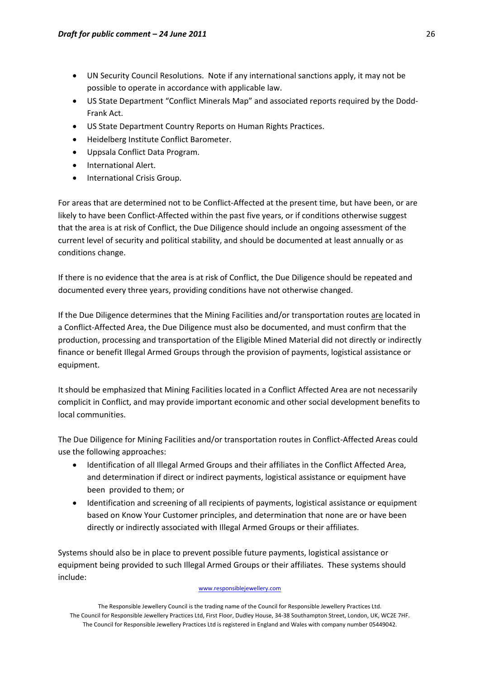- UN Security Council Resolutions. Note if any international sanctions apply, it may not be possible to operate in accordance with applicable law.
- US State Department "Conflict Minerals Map" and associated reports required by the Dodd‐ Frank Act.
- US State Department Country Reports on Human Rights Practices.
- Heidelberg Institute Conflict Barometer.
- Uppsala Conflict Data Program.
- International Alert.
- International Crisis Group.

For areas that are determined not to be Conflict-Affected at the present time, but have been, or are likely to have been Conflict-Affected within the past five years, or if conditions otherwise suggest that the area is at risk of Conflict, the Due Diligence should include an ongoing assessment of the current level of security and political stability, and should be documented at least annually or as conditions change.

If there is no evidence that the area is at risk of Conflict, the Due Diligence should be repeated and documented every three years, providing conditions have not otherwise changed.

If the Due Diligence determines that the Mining Facilities and/or transportation routes are located in a Conflict-Affected Area, the Due Diligence must also be documented, and must confirm that the production, processing and transportation of the Eligible Mined Material did not directly or indirectly finance or benefit Illegal Armed Groups through the provision of payments, logistical assistance or equipment.

It should be emphasized that Mining Facilities located in a Conflict Affected Area are not necessarily complicit in Conflict, and may provide important economic and other social development benefits to local communities.

The Due Diligence for Mining Facilities and/or transportation routes in Conflict‐Affected Areas could use the following approaches:

- Identification of all Illegal Armed Groups and their affiliates in the Conflict Affected Area, and determination if direct or indirect payments, logistical assistance or equipment have been provided to them; or
- Identification and screening of all recipients of payments, logistical assistance or equipment based on Know Your Customer principles, and determination that none are or have been directly or indirectly associated with Illegal Armed Groups or their affiliates.

Systems should also be in place to prevent possible future payments, logistical assistance or equipment being provided to such Illegal Armed Groups or their affiliates. These systems should include:

#### www.responsiblejewellery.com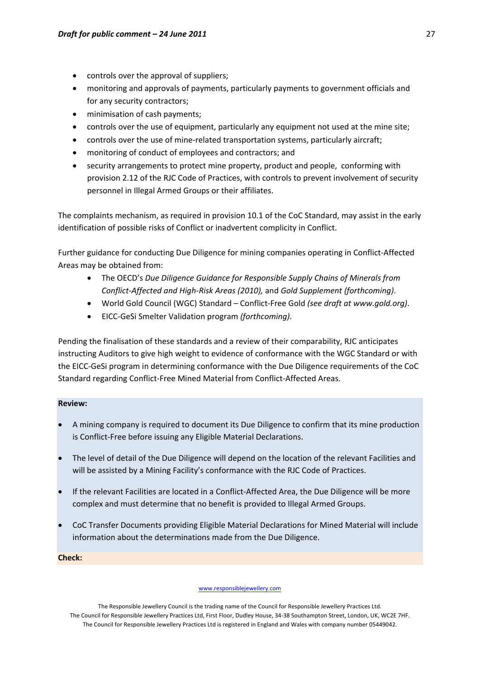- controls over the approval of suppliers;
- monitoring and approvals of payments, particularly payments to government officials and for any security contractors;
- minimisation of cash payments;
- controls over the use of equipment, particularly any equipment not used at the mine site;
- controls over the use of mine-related transportation systems, particularly aircraft;
- monitoring of conduct of employees and contractors; and
- security arrangements to protect mine property, product and people, conforming with provision 2.12 of the RJC Code of Practices, with controls to prevent involvement of security personnel in Illegal Armed Groups or their affiliates.

The complaints mechanism, as required in provision 10.1 of the CoC Standard, may assist in the early identification of possible risks of Conflict or inadvertent complicity in Conflict.

Further guidance for conducting Due Diligence for mining companies operating in Conflict‐Affected Areas may be obtained from:

- The OECD's *Due Diligence Guidance for Responsible Supply Chains of Minerals from Conflict‐Affected and High‐Risk Areas (2010),* and *Gold Supplement (forthcoming)*.
- World Gold Council (WGC) Standard Conflict‐Free Gold *(see draft at www.gold.org)*.
- EICC‐GeSi Smelter Validation program *(forthcoming).*

Pending the finalisation of these standards and a review of their comparability, RJC anticipates instructing Auditors to give high weight to evidence of conformance with the WGC Standard or with the EICC‐GeSi program in determining conformance with the Due Diligence requirements of the CoC Standard regarding Conflict‐Free Mined Material from Conflict‐Affected Areas.

## **Review:**

- A mining company is required to document its Due Diligence to confirm that its mine production is Conflict‐Free before issuing any Eligible Material Declarations.
- The level of detail of the Due Diligence will depend on the location of the relevant Facilities and will be assisted by a Mining Facility's conformance with the RJC Code of Practices.
- If the relevant Facilities are located in a Conflict-Affected Area, the Due Diligence will be more complex and must determine that no benefit is provided to Illegal Armed Groups.
- CoC Transfer Documents providing Eligible Material Declarations for Mined Material will include information about the determinations made from the Due Diligence.

**Check:**

#### www.responsiblejewellery.com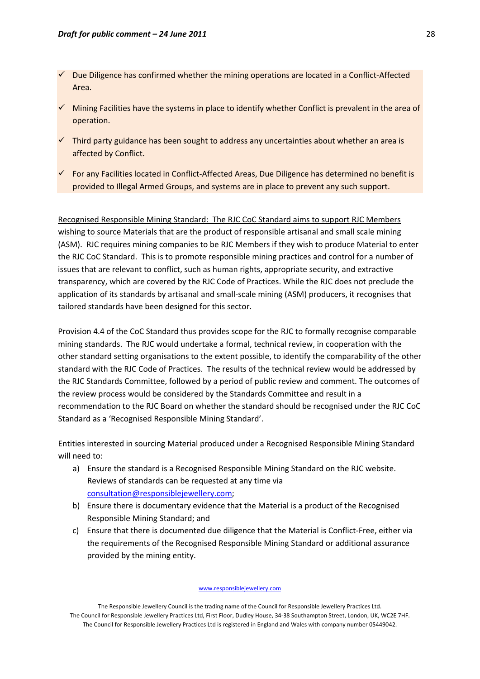- 9 Due Diligence has confirmed whether the mining operations are located in a Conflict‐Affected Area.
- $\checkmark$  Mining Facilities have the systems in place to identify whether Conflict is prevalent in the area of operation.
- $\checkmark$  Third party guidance has been sought to address any uncertainties about whether an area is affected by Conflict.
- $\checkmark$  For any Facilities located in Conflict-Affected Areas, Due Diligence has determined no benefit is provided to Illegal Armed Groups, and systems are in place to prevent any such support.

Recognised Responsible Mining Standard: The RJC CoC Standard aims to support RJC Members wishing to source Materials that are the product of responsible artisanal and small scale mining (ASM). RJC requires mining companies to be RJC Members if they wish to produce Material to enter the RJC CoC Standard. This is to promote responsible mining practices and control for a number of issues that are relevant to conflict, such as human rights, appropriate security, and extractive transparency, which are covered by the RJC Code of Practices. While the RJC does not preclude the application of its standards by artisanal and small‐scale mining (ASM) producers, it recognises that tailored standards have been designed for this sector.

Provision 4.4 of the CoC Standard thus provides scope for the RJC to formally recognise comparable mining standards. The RJC would undertake a formal, technical review, in cooperation with the other standard setting organisations to the extent possible, to identify the comparability of the other standard with the RJC Code of Practices. The results of the technical review would be addressed by the RJC Standards Committee, followed by a period of public review and comment. The outcomes of the review process would be considered by the Standards Committee and result in a recommendation to the RJC Board on whether the standard should be recognised under the RJC CoC Standard as a 'Recognised Responsible Mining Standard'.

Entities interested in sourcing Material produced under a Recognised Responsible Mining Standard will need to:

- a) Ensure the standard is a Recognised Responsible Mining Standard on the RJC website. Reviews of standards can be requested at any time via [consultation@responsiblejewellery.com;](mailto:consultation@responsiblejewellery.com)
- b) Ensure there is documentary evidence that the Material is a product of the Recognised Responsible Mining Standard; and
- c) Ensure that there is documented due diligence that the Material is Conflict‐Free, either via the requirements of the Recognised Responsible Mining Standard or additional assurance provided by the mining entity.

#### www.responsiblejewellery.com

The Responsible Jewellery Council is the trading name of the Council for Responsible Jewellery Practices Ltd. The Council for Responsible Jewellery Practices Ltd, First Floor, Dudley House, 34‐38 Southampton Street, London, UK, WC2E 7HF. The Council for Responsible Jewellery Practices Ltd is registered in England and Wales with company number 05449042.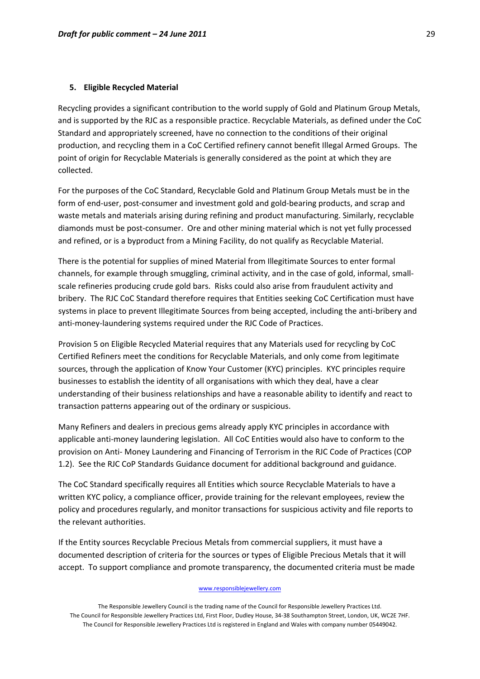#### **5. Eligible Recycled Material**

Recycling provides a significant contribution to the world supply of Gold and Platinum Group Metals, and is supported by the RJC as a responsible practice. Recyclable Materials, as defined under the CoC Standard and appropriately screened, have no connection to the conditions of their original production, and recycling them in a CoC Certified refinery cannot benefit Illegal Armed Groups. The point of origin for Recyclable Materials is generally considered as the point at which they are collected.

For the purposes of the CoC Standard, Recyclable Gold and Platinum Group Metals must be in the form of end-user, post-consumer and investment gold and gold-bearing products, and scrap and waste metals and materials arising during refining and product manufacturing. Similarly, recyclable diamonds must be post-consumer. Ore and other mining material which is not yet fully processed and refined, or is a byproduct from a Mining Facility, do not qualify as Recyclable Material.

There is the potential for supplies of mined Material from Illegitimate Sources to enter formal channels, for example through smuggling, criminal activity, and in the case of gold, informal, small‐ scale refineries producing crude gold bars. Risks could also arise from fraudulent activity and bribery. The RJC CoC Standard therefore requires that Entities seeking CoC Certification must have systems in place to prevent Illegitimate Sources from being accepted, including the anti-bribery and anti-money-laundering systems required under the RJC Code of Practices.

Provision 5 on Eligible Recycled Material requires that any Materials used for recycling by CoC Certified Refiners meet the conditions for Recyclable Materials, and only come from legitimate sources, through the application of Know Your Customer (KYC) principles. KYC principles require businesses to establish the identity of all organisations with which they deal, have a clear understanding of their business relationships and have a reasonable ability to identify and react to transaction patterns appearing out of the ordinary or suspicious.

Many Refiners and dealers in precious gems already apply KYC principles in accordance with applicable anti‐money laundering legislation. All CoC Entities would also have to conform to the provision on Anti‐ Money Laundering and Financing of Terrorism in the RJC Code of Practices (COP 1.2). See the RJC CoP Standards Guidance document for additional background and guidance.

The CoC Standard specifically requires all Entities which source Recyclable Materials to have a written KYC policy, a compliance officer, provide training for the relevant employees, review the policy and procedures regularly, and monitor transactions for suspicious activity and file reports to the relevant authorities.

If the Entity sources Recyclable Precious Metals from commercial suppliers, it must have a documented description of criteria for the sources or types of Eligible Precious Metals that it will accept. To support compliance and promote transparency, the documented criteria must be made

#### www.responsiblejewellery.com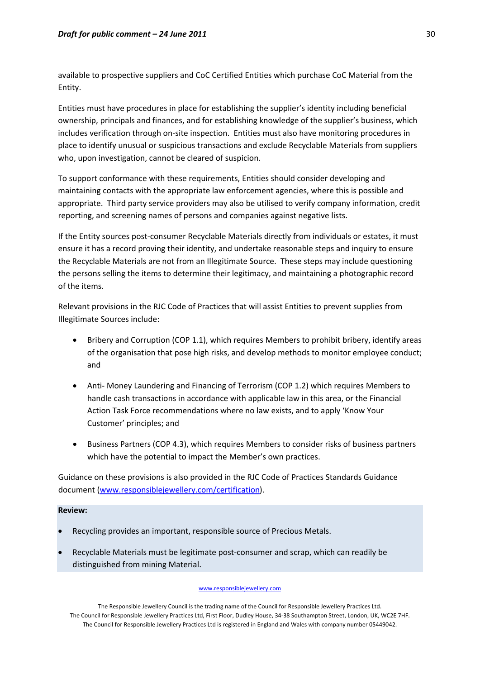available to prospective suppliers and CoC Certified Entities which purchase CoC Material from the Entity.

Entities must have procedures in place for establishing the supplier's identity including beneficial ownership, principals and finances, and for establishing knowledge of the supplier's business, which includes verification through on‐site inspection. Entities must also have monitoring procedures in place to identify unusual or suspicious transactions and exclude Recyclable Materials from suppliers who, upon investigation, cannot be cleared of suspicion.

To support conformance with these requirements, Entities should consider developing and maintaining contacts with the appropriate law enforcement agencies, where this is possible and appropriate. Third party service providers may also be utilised to verify company information, credit reporting, and screening names of persons and companies against negative lists.

If the Entity sources post‐consumer Recyclable Materials directly from individuals or estates, it must ensure it has a record proving their identity, and undertake reasonable steps and inquiry to ensure the Recyclable Materials are not from an Illegitimate Source. These steps may include questioning the persons selling the items to determine their legitimacy, and maintaining a photographic record of the items.

Relevant provisions in the RJC Code of Practices that will assist Entities to prevent supplies from Illegitimate Sources include:

- Bribery and Corruption (COP 1.1), which requires Members to prohibit bribery, identify areas of the organisation that pose high risks, and develop methods to monitor employee conduct; and
- Anti‐ Money Laundering and Financing of Terrorism (COP 1.2) which requires Members to handle cash transactions in accordance with applicable law in this area, or the Financial Action Task Force recommendations where no law exists, and to apply 'Know Your Customer' principles; and
- Business Partners (COP 4.3), which requires Members to consider risks of business partners which have the potential to impact the Member's own practices.

Guidance on these provisions is also provided in the RJC Code of Practices Standards Guidance document [\(www.responsiblejewellery.com/certification](http://www.responsiblejewellery.com/certification)).

## **Review:**

- Recycling provides an important, responsible source of Precious Metals.
- Recyclable Materials must be legitimate post‐consumer and scrap, which can readily be distinguished from mining Material.

#### www.responsiblejewellery.com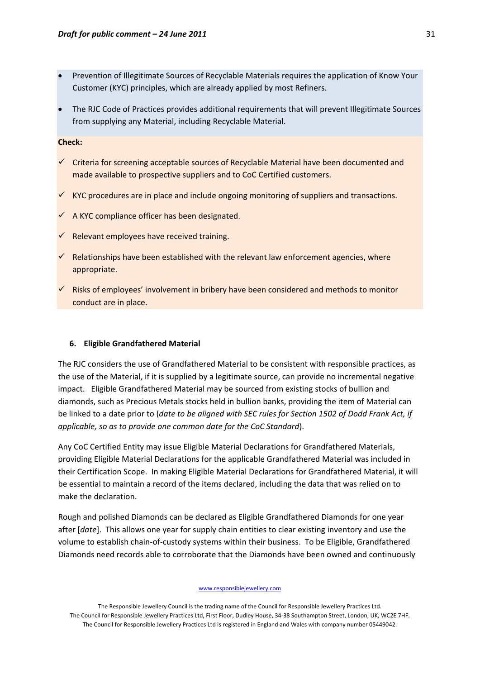- Prevention of Illegitimate Sources of Recyclable Materials requires the application of Know Your Customer (KYC) principles, which are already applied by most Refiners.
- The RJC Code of Practices provides additional requirements that will prevent Illegitimate Sources from supplying any Material, including Recyclable Material.

#### **Check:**

- $\checkmark$  Criteria for screening acceptable sources of Recyclable Material have been documented and made available to prospective suppliers and to CoC Certified customers.
- $\checkmark$  KYC procedures are in place and include ongoing monitoring of suppliers and transactions.
- $\checkmark$  A KYC compliance officer has been designated.
- $\checkmark$  Relevant employees have received training.
- $\checkmark$  Relationships have been established with the relevant law enforcement agencies, where appropriate.
- $\checkmark$  Risks of employees' involvement in bribery have been considered and methods to monitor conduct are in place.

## **6. Eligible Grandfathered Material**

The RJC considers the use of Grandfathered Material to be consistent with responsible practices, as the use of the Material, if it is supplied by a legitimate source, can provide no incremental negative impact. Eligible Grandfathered Material may be sourced from existing stocks of bullion and diamonds, such as Precious Metals stocks held in bullion banks, providing the item of Material can be linked to a date prior to (*date to be aligned with SEC rules for Section 1502 of Dodd Frank Act, if applicable, so as to provide one common date for the CoC Standard*).

Any CoC Certified Entity may issue Eligible Material Declarations for Grandfathered Materials, providing Eligible Material Declarations for the applicable Grandfathered Material was included in their Certification Scope. In making Eligible Material Declarations for Grandfathered Material, it will be essential to maintain a record of the items declared, including the data that was relied on to make the declaration.

Rough and polished Diamonds can be declared as Eligible Grandfathered Diamonds for one year after [*date*]. This allows one year for supply chain entities to clear existing inventory and use the volume to establish chain‐of‐custody systems within their business. To be Eligible, Grandfathered Diamonds need records able to corroborate that the Diamonds have been owned and continuously

#### www.responsiblejewellery.com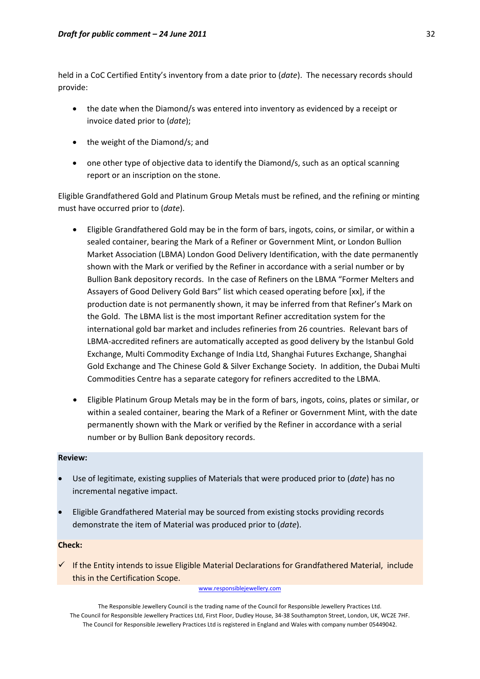held in a CoC Certified Entity's inventory from a date prior to (*date*). The necessary records should provide:

- the date when the Diamond/s was entered into inventory as evidenced by a receipt or invoice dated prior to (*date*);
- the weight of the Diamond/s; and
- one other type of objective data to identify the Diamond/s, such as an optical scanning report or an inscription on the stone.

Eligible Grandfathered Gold and Platinum Group Metals must be refined, and the refining or minting must have occurred prior to (*date*).

- Eligible Grandfathered Gold may be in the form of bars, ingots, coins, or similar, or within a sealed container, bearing the Mark of a Refiner or Government Mint, or London Bullion Market Association (LBMA) London Good Delivery Identification, with the date permanently shown with the Mark or verified by the Refiner in accordance with a serial number or by Bullion Bank depository records. In the case of Refiners on the LBMA "Former Melters and Assayers of Good Delivery Gold Bars" list which ceased operating before [xx], if the production date is not permanently shown, it may be inferred from that Refiner's Mark on the Gold. The LBMA list is the most important Refiner accreditation system for the international gold bar market and includes refineries from 26 countries. Relevant bars of LBMA‐accredited refiners are automatically accepted as good delivery by the Istanbul Gold Exchange, Multi Commodity Exchange of India Ltd, Shanghai Futures Exchange, Shanghai Gold Exchange and The Chinese Gold & Silver Exchange Society. In addition, the Dubai Multi Commodities Centre has a separate category for refiners accredited to the LBMA.
- Eligible Platinum Group Metals may be in the form of bars, ingots, coins, plates or similar, or within a sealed container, bearing the Mark of a Refiner or Government Mint, with the date permanently shown with the Mark or verified by the Refiner in accordance with a serial number or by Bullion Bank depository records.

# **Review:**

- Use of legitimate, existing supplies of Materials that were produced prior to (*date*) has no incremental negative impact.
- Eligible Grandfathered Material may be sourced from existing stocks providing records demonstrate the item of Material was produced prior to (*date*).

## **Check:**

 $\checkmark$  If the Entity intends to issue Eligible Material Declarations for Grandfathered Material, include this in the Certification Scope.

#### www.responsiblejewellery.com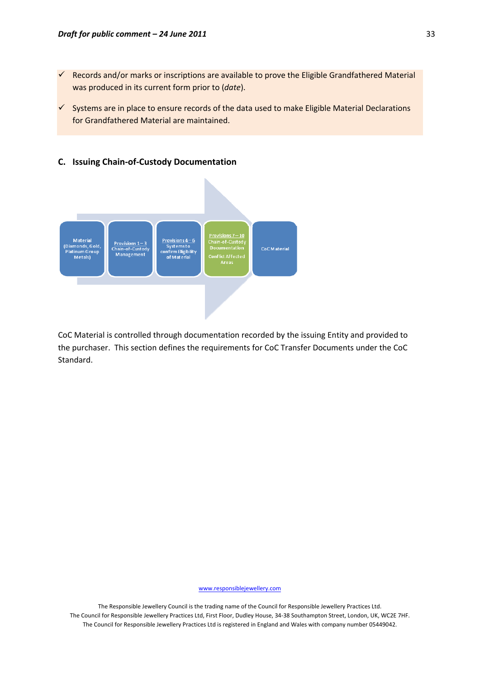**C. Issuing Chain‐of‐Custody Documentation**

- $\checkmark$  Records and/or marks or inscriptions are available to prove the Eligible Grandfathered Material was produced in its current form prior to (*date*).
- $\checkmark$  Systems are in place to ensure records of the data used to make Eligible Material Declarations for Grandfathered Material are maintained.



CoC Material is controlled through documentation recorded by the issuing Entity and provided to the purchaser. This section defines the requirements for CoC Transfer Documents under the CoC Standard.

www.responsiblejewellery.com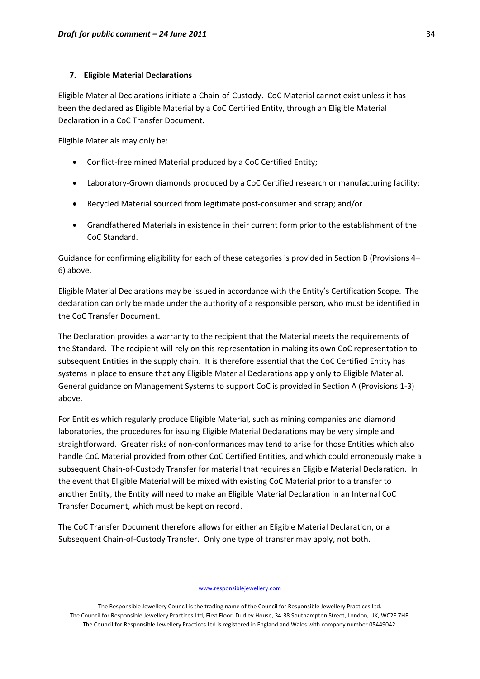#### **7. Eligible Material Declarations**

Eligible Material Declarations initiate a Chain‐of‐Custody. CoC Material cannot exist unless it has been the declared as Eligible Material by a CoC Certified Entity, through an Eligible Material Declaration in a CoC Transfer Document.

Eligible Materials may only be:

- Conflict-free mined Material produced by a CoC Certified Entity;
- Laboratory‐Grown diamonds produced by a CoC Certified research or manufacturing facility;
- Recycled Material sourced from legitimate post‐consumer and scrap; and/or
- Grandfathered Materials in existence in their current form prior to the establishment of the CoC Standard.

Guidance for confirming eligibility for each of these categories is provided in Section B (Provisions 4– 6) above.

Eligible Material Declarations may be issued in accordance with the Entity's Certification Scope. The declaration can only be made under the authority of a responsible person, who must be identified in the CoC Transfer Document.

The Declaration provides a warranty to the recipient that the Material meets the requirements of the Standard. The recipient will rely on this representation in making its own CoC representation to subsequent Entities in the supply chain. It is therefore essential that the CoC Certified Entity has systems in place to ensure that any Eligible Material Declarations apply only to Eligible Material. General guidance on Management Systems to support CoC is provided in Section A (Provisions 1‐3) above.

For Entities which regularly produce Eligible Material, such as mining companies and diamond laboratories, the procedures for issuing Eligible Material Declarations may be very simple and straightforward. Greater risks of non‐conformances may tend to arise for those Entities which also handle CoC Material provided from other CoC Certified Entities, and which could erroneously make a subsequent Chain-of-Custody Transfer for material that requires an Eligible Material Declaration. In the event that Eligible Material will be mixed with existing CoC Material prior to a transfer to another Entity, the Entity will need to make an Eligible Material Declaration in an Internal CoC Transfer Document, which must be kept on record.

The CoC Transfer Document therefore allows for either an Eligible Material Declaration, or a Subsequent Chain‐of‐Custody Transfer. Only one type of transfer may apply, not both.

www.responsiblejewellery.com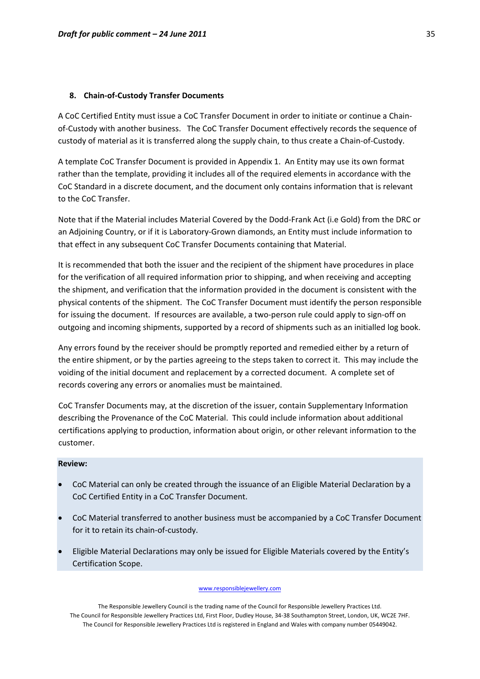### **8. Chain‐of‐Custody Transfer Documents**

A CoC Certified Entity must issue a CoC Transfer Document in order to initiate or continue a Chain‐ of-Custody with another business. The CoC Transfer Document effectively records the sequence of custody of material as it is transferred along the supply chain, to thus create a Chain‐of‐Custody.

A template CoC Transfer Document is provided in Appendix 1. An Entity may use its own format rather than the template, providing it includes all of the required elements in accordance with the CoC Standard in a discrete document, and the document only contains information that is relevant to the CoC Transfer.

Note that if the Material includes Material Covered by the Dodd‐Frank Act (i.e Gold) from the DRC or an Adjoining Country, or if it is Laboratory‐Grown diamonds, an Entity must include information to that effect in any subsequent CoC Transfer Documents containing that Material.

It is recommended that both the issuer and the recipient of the shipment have procedures in place for the verification of all required information prior to shipping, and when receiving and accepting the shipment, and verification that the information provided in the document is consistent with the physical contents of the shipment. The CoC Transfer Document must identify the person responsible for issuing the document. If resources are available, a two-person rule could apply to sign-off on outgoing and incoming shipments, supported by a record of shipments such as an initialled log book.

Any errors found by the receiver should be promptly reported and remedied either by a return of the entire shipment, or by the parties agreeing to the steps taken to correct it. This may include the voiding of the initial document and replacement by a corrected document. A complete set of records covering any errors or anomalies must be maintained.

CoC Transfer Documents may, at the discretion of the issuer, contain Supplementary Information describing the Provenance of the CoC Material. This could include information about additional certifications applying to production, information about origin, or other relevant information to the customer.

#### **Review:**

- CoC Material can only be created through the issuance of an Eligible Material Declaration by a CoC Certified Entity in a CoC Transfer Document.
- CoC Material transferred to another business must be accompanied by a CoC Transfer Document for it to retain its chain‐of‐custody.
- Eligible Material Declarations may only be issued for Eligible Materials covered by the Entity's Certification Scope.

#### www.responsiblejewellery.com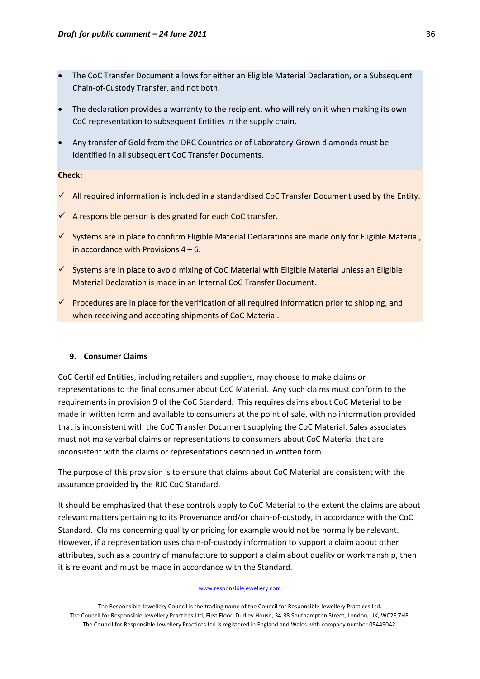- The CoC Transfer Document allows for either an Eligible Material Declaration, or a Subsequent Chain‐of‐Custody Transfer, and not both.
- The declaration provides a warranty to the recipient, who will rely on it when making its own CoC representation to subsequent Entities in the supply chain.
- Any transfer of Gold from the DRC Countries or of Laboratory‐Grown diamonds must be identified in all subsequent CoC Transfer Documents.

## **Check:**

- $\checkmark$  All required information is included in a standardised CoC Transfer Document used by the Entity.
- $\checkmark$  A responsible person is designated for each CoC transfer.
- $\checkmark$  Systems are in place to confirm Eligible Material Declarations are made only for Eligible Material, in accordance with Provisions  $4 - 6$ .
- $\checkmark$  Systems are in place to avoid mixing of CoC Material with Eligible Material unless an Eligible Material Declaration is made in an Internal CoC Transfer Document.
- $\checkmark$  Procedures are in place for the verification of all required information prior to shipping, and when receiving and accepting shipments of CoC Material.

#### **9. Consumer Claims**

CoC Certified Entities, including retailers and suppliers, may choose to make claims or representations to the final consumer about CoC Material. Any such claims must conform to the requirements in provision 9 of the CoC Standard. This requires claims about CoC Material to be made in written form and available to consumers at the point of sale, with no information provided that is inconsistent with the CoC Transfer Document supplying the CoC Material. Sales associates must not make verbal claims or representations to consumers about CoC Material that are inconsistent with the claims or representations described in written form.

The purpose of this provision is to ensure that claims about CoC Material are consistent with the assurance provided by the RJC CoC Standard.

It should be emphasized that these controls apply to CoC Material to the extent the claims are about relevant matters pertaining to its Provenance and/or chain‐of‐custody, in accordance with the CoC Standard. Claims concerning quality or pricing for example would not be normally be relevant. However, if a representation uses chain-of-custody information to support a claim about other attributes, such as a country of manufacture to support a claim about quality or workmanship, then it is relevant and must be made in accordance with the Standard.

#### www.responsiblejewellery.com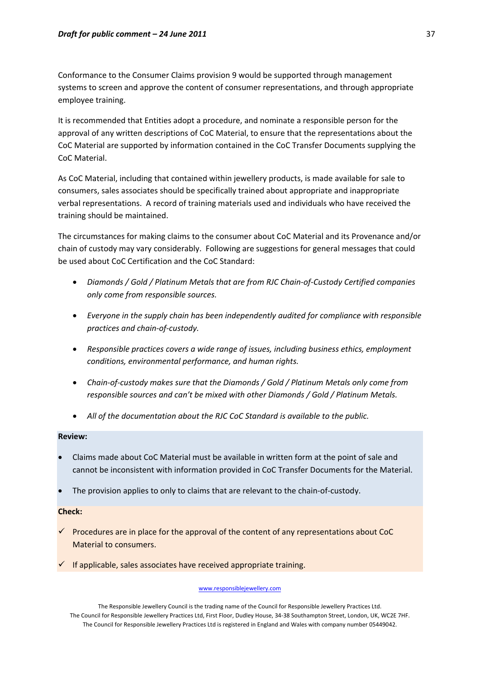Conformance to the Consumer Claims provision 9 would be supported through management systems to screen and approve the content of consumer representations, and through appropriate employee training.

It is recommended that Entities adopt a procedure, and nominate a responsible person for the approval of any written descriptions of CoC Material, to ensure that the representations about the CoC Material are supported by information contained in the CoC Transfer Documents supplying the CoC Material.

As CoC Material, including that contained within jewellery products, is made available for sale to consumers, sales associates should be specifically trained about appropriate and inappropriate verbal representations. A record of training materials used and individuals who have received the training should be maintained.

The circumstances for making claims to the consumer about CoC Material and its Provenance and/or chain of custody may vary considerably. Following are suggestions for general messages that could be used about CoC Certification and the CoC Standard:

- *Diamonds / Gold / Platinum Metals that are from RJC Chain‐of‐Custody Certified companies only come from responsible sources.*
- *Everyone in the supply chain has been independently audited for compliance with responsible practices and chain‐of‐custody.*
- *Responsible practices covers a wide range of issues, including business ethics, employment conditions, environmental performance, and human rights.*
- *Chain‐of‐custody makes sure that the Diamonds / Gold / Platinum Metals only come from responsible sources and can't be mixed with other Diamonds / Gold / Platinum Metals.*
- *All of the documentation about the RJC CoC Standard is available to the public.*

#### **Review:**

- Claims made about CoC Material must be available in written form at the point of sale and cannot be inconsistent with information provided in CoC Transfer Documents for the Material.
- The provision applies to only to claims that are relevant to the chain‐of‐custody.

## **Check:**

- $\checkmark$  Procedures are in place for the approval of the content of any representations about CoC Material to consumers.
- $\checkmark$  If applicable, sales associates have received appropriate training.

#### www.responsiblejewellery.com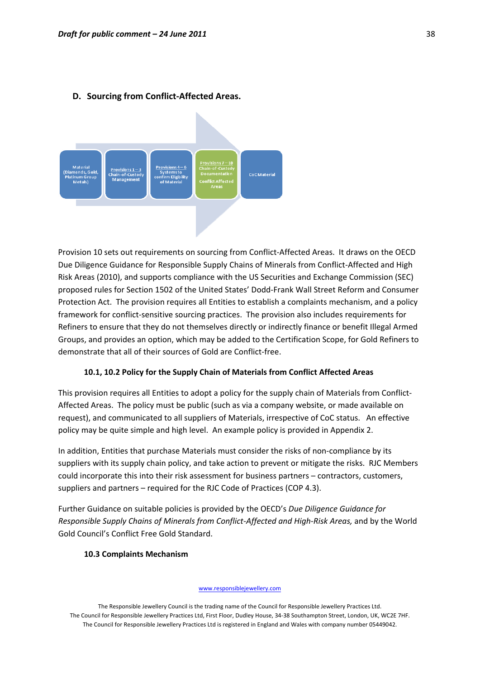

## **D. Sourcing from Conflict‐Affected Areas.**

Provision 10 sets out requirements on sourcing from Conflict‐Affected Areas. It draws on the OECD Due Diligence Guidance for Responsible Supply Chains of Minerals from Conflict‐Affected and High Risk Areas (2010), and supports compliance with the US Securities and Exchange Commission (SEC) proposed rules for Section 1502 of the United States' Dodd‐Frank Wall Street Reform and Consumer Protection Act. The provision requires all Entities to establish a complaints mechanism, and a policy framework for conflict-sensitive sourcing practices. The provision also includes requirements for Refiners to ensure that they do not themselves directly or indirectly finance or benefit Illegal Armed Groups, and provides an option, which may be added to the Certification Scope, for Gold Refiners to demonstrate that all of their sources of Gold are Conflict‐free.

#### **10.1, 10.2 Policy for the Supply Chain of Materials from Conflict Affected Areas**

This provision requires all Entities to adopt a policy for the supply chain of Materials from Conflict‐ Affected Areas. The policy must be public (such as via a company website, or made available on request), and communicated to all suppliers of Materials, irrespective of CoC status. An effective policy may be quite simple and high level. An example policy is provided in Appendix 2.

In addition, Entities that purchase Materials must consider the risks of non-compliance by its suppliers with its supply chain policy, and take action to prevent or mitigate the risks. RJC Members could incorporate this into their risk assessment for business partners – contractors, customers, suppliers and partners – required for the RJC Code of Practices (COP 4.3).

Further Guidance on suitable policies is provided by the OECD's *Due Diligence Guidance for Responsible Supply Chains of Minerals from Conflict‐Affected and High‐Risk Areas,* and by the World Gold Council's Conflict Free Gold Standard.

#### **10.3 Complaints Mechanism**

#### www.responsiblejewellery.com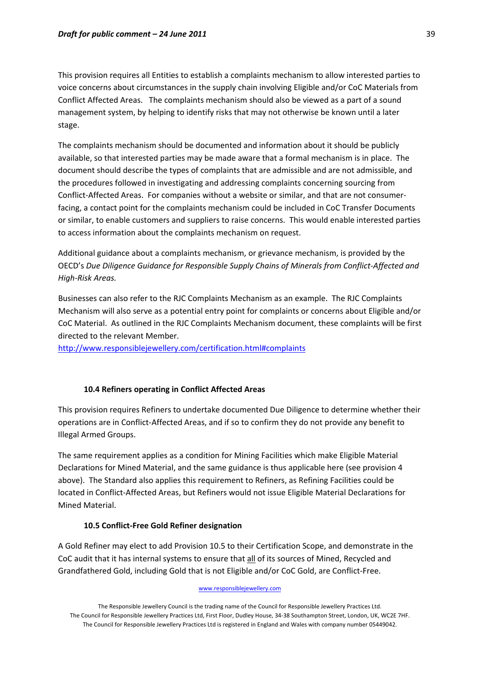This provision requires all Entities to establish a complaints mechanism to allow interested parties to voice concerns about circumstances in the supply chain involving Eligible and/or CoC Materials from Conflict Affected Areas. The complaints mechanism should also be viewed as a part of a sound management system, by helping to identify risks that may not otherwise be known until a later stage.

The complaints mechanism should be documented and information about it should be publicly available, so that interested parties may be made aware that a formal mechanism is in place. The document should describe the types of complaints that are admissible and are not admissible, and the procedures followed in investigating and addressing complaints concerning sourcing from Conflict‐Affected Areas. For companies without a website or similar, and that are not consumer‐ facing, a contact point for the complaints mechanism could be included in CoC Transfer Documents or similar, to enable customers and suppliers to raise concerns. This would enable interested parties to access information about the complaints mechanism on request.

Additional guidance about a complaints mechanism, or grievance mechanism, is provided by the OECD's *Due Diligence Guidance for Responsible Supply Chains of Minerals from Conflict‐Affected and High‐Risk Areas.*

Businesses can also refer to the RJC Complaints Mechanism as an example. The RJC Complaints Mechanism will also serve as a potential entry point for complaints or concerns about Eligible and/or CoC Material. As outlined in the RJC Complaints Mechanism document, these complaints will be first directed to the relevant Member.

<http://www.responsiblejewellery.com/certification.html#complaints>

## **10.4 Refiners operating in Conflict Affected Areas**

This provision requires Refiners to undertake documented Due Diligence to determine whether their operations are in Conflict‐Affected Areas, and if so to confirm they do not provide any benefit to Illegal Armed Groups.

The same requirement applies as a condition for Mining Facilities which make Eligible Material Declarations for Mined Material, and the same guidance is thus applicable here (see provision 4 above). The Standard also applies this requirement to Refiners, as Refining Facilities could be located in Conflict‐Affected Areas, but Refiners would not issue Eligible Material Declarations for Mined Material.

#### **10.5 Conflict‐Free Gold Refiner designation**

A Gold Refiner may elect to add Provision 10.5 to their Certification Scope, and demonstrate in the CoC audit that it has internal systems to ensure that all of its sources of Mined, Recycled and Grandfathered Gold, including Gold that is not Eligible and/or CoC Gold, are Conflict‐Free.

#### www.responsiblejewellery.com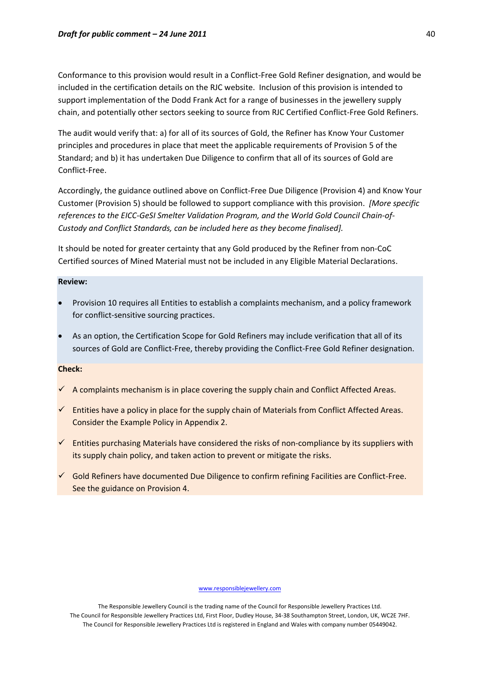Conformance to this provision would result in a Conflict‐Free Gold Refiner designation, and would be included in the certification details on the RJC website. Inclusion of this provision is intended to support implementation of the Dodd Frank Act for a range of businesses in the jewellery supply chain, and potentially other sectors seeking to source from RJC Certified Conflict‐Free Gold Refiners.

The audit would verify that: a) for all of its sources of Gold, the Refiner has Know Your Customer principles and procedures in place that meet the applicable requirements of Provision 5 of the Standard; and b) it has undertaken Due Diligence to confirm that all of its sources of Gold are Conflict‐Free.

Accordingly, the guidance outlined above on Conflict‐Free Due Diligence (Provision 4) and Know Your Customer (Provision 5) should be followed to support compliance with this provision. *[More specific references to the EICC‐GeSI Smelter Validation Program, and the World Gold Council Chain‐of‐ Custody and Conflict Standards, can be included here as they become finalised].*

It should be noted for greater certainty that any Gold produced by the Refiner from non‐CoC Certified sources of Mined Material must not be included in any Eligible Material Declarations.

# **Review:**

- Provision 10 requires all Entities to establish a complaints mechanism, and a policy framework for conflict-sensitive sourcing practices.
- As an option, the Certification Scope for Gold Refiners may include verification that all of its sources of Gold are Conflict-Free, thereby providing the Conflict-Free Gold Refiner designation.

## **Check:**

- $\checkmark$  A complaints mechanism is in place covering the supply chain and Conflict Affected Areas.
- $\checkmark$  Entities have a policy in place for the supply chain of Materials from Conflict Affected Areas. Consider the Example Policy in Appendix 2.
- $\checkmark$  Entities purchasing Materials have considered the risks of non-compliance by its suppliers with its supply chain policy, and taken action to prevent or mitigate the risks.
- $\checkmark$  Gold Refiners have documented Due Diligence to confirm refining Facilities are Conflict-Free. See the guidance on Provision 4.

#### www.responsiblejewellery.com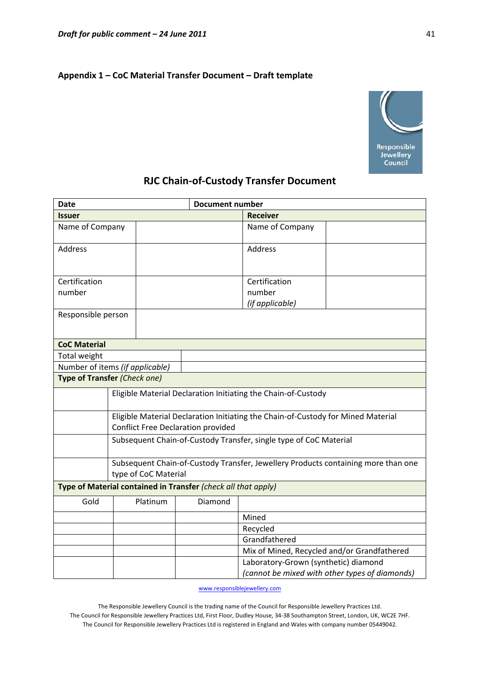# **Appendix 1 – CoC Material Transfer Document – Draft template**



# **RJC Chain‐of‐Custody Transfer Document**

| <b>Date</b>                     |                                                                                                                               |                                                               |                                                               | <b>Document number</b>               |                                                |  |
|---------------------------------|-------------------------------------------------------------------------------------------------------------------------------|---------------------------------------------------------------|---------------------------------------------------------------|--------------------------------------|------------------------------------------------|--|
| <b>Issuer</b>                   |                                                                                                                               |                                                               |                                                               | <b>Receiver</b>                      |                                                |  |
| Name of Company                 |                                                                                                                               |                                                               |                                                               | Name of Company                      |                                                |  |
| Address                         |                                                                                                                               |                                                               |                                                               | Address                              |                                                |  |
| Certification                   |                                                                                                                               |                                                               |                                                               | Certification                        |                                                |  |
| number                          |                                                                                                                               |                                                               |                                                               | number                               |                                                |  |
|                                 |                                                                                                                               |                                                               |                                                               | (if applicable)                      |                                                |  |
| Responsible person              |                                                                                                                               |                                                               |                                                               |                                      |                                                |  |
| <b>CoC Material</b>             |                                                                                                                               |                                                               |                                                               |                                      |                                                |  |
| Total weight                    |                                                                                                                               |                                                               |                                                               |                                      |                                                |  |
| Number of items (if applicable) |                                                                                                                               |                                                               |                                                               |                                      |                                                |  |
| Type of Transfer (Check one)    |                                                                                                                               |                                                               |                                                               |                                      |                                                |  |
|                                 |                                                                                                                               | Eligible Material Declaration Initiating the Chain-of-Custody |                                                               |                                      |                                                |  |
|                                 | Eligible Material Declaration Initiating the Chain-of-Custody for Mined Material<br><b>Conflict Free Declaration provided</b> |                                                               |                                                               |                                      |                                                |  |
|                                 | Subsequent Chain-of-Custody Transfer, single type of CoC Material                                                             |                                                               |                                                               |                                      |                                                |  |
|                                 | Subsequent Chain-of-Custody Transfer, Jewellery Products containing more than one<br>type of CoC Material                     |                                                               |                                                               |                                      |                                                |  |
|                                 |                                                                                                                               |                                                               | Type of Material contained in Transfer (check all that apply) |                                      |                                                |  |
| Gold                            |                                                                                                                               | Platinum                                                      | Diamond                                                       |                                      |                                                |  |
|                                 |                                                                                                                               |                                                               |                                                               | Mined                                |                                                |  |
|                                 |                                                                                                                               |                                                               |                                                               | Recycled                             |                                                |  |
|                                 |                                                                                                                               |                                                               |                                                               | Grandfathered                        |                                                |  |
|                                 |                                                                                                                               |                                                               |                                                               |                                      | Mix of Mined, Recycled and/or Grandfathered    |  |
|                                 |                                                                                                                               |                                                               |                                                               | Laboratory-Grown (synthetic) diamond |                                                |  |
|                                 |                                                                                                                               |                                                               |                                                               |                                      | (cannot be mixed with other types of diamonds) |  |

www.responsiblejewellery.com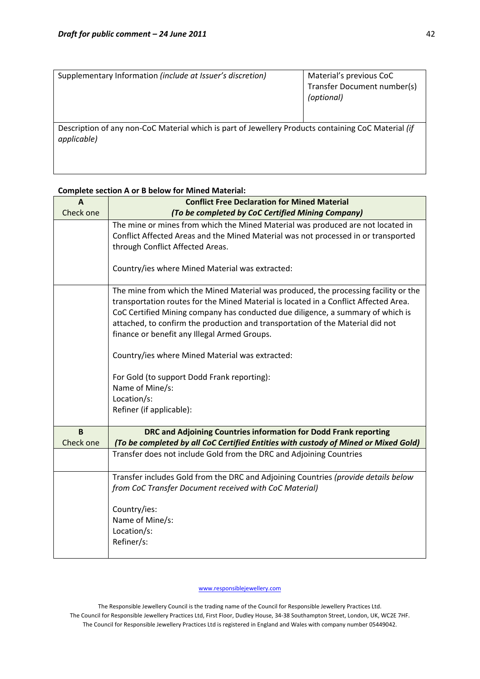| Supplementary Information (include at Issuer's discretion)                                                         | Material's previous CoC<br>Transfer Document number(s)<br>(optional) |
|--------------------------------------------------------------------------------------------------------------------|----------------------------------------------------------------------|
| Description of any non-CoC Material which is part of Jewellery Products containing CoC Material (if<br>applicable) |                                                                      |

# **Complete section A or B below for Mined Material:**

| A              | <b>Conflict Free Declaration for Mined Material</b>                                                                                                                                                                                                                                                                                                                                              |
|----------------|--------------------------------------------------------------------------------------------------------------------------------------------------------------------------------------------------------------------------------------------------------------------------------------------------------------------------------------------------------------------------------------------------|
| Check one      | (To be completed by CoC Certified Mining Company)                                                                                                                                                                                                                                                                                                                                                |
|                | The mine or mines from which the Mined Material was produced are not located in<br>Conflict Affected Areas and the Mined Material was not processed in or transported                                                                                                                                                                                                                            |
|                | through Conflict Affected Areas.                                                                                                                                                                                                                                                                                                                                                                 |
|                | Country/ies where Mined Material was extracted:                                                                                                                                                                                                                                                                                                                                                  |
|                | The mine from which the Mined Material was produced, the processing facility or the<br>transportation routes for the Mined Material is located in a Conflict Affected Area.<br>CoC Certified Mining company has conducted due diligence, a summary of which is<br>attached, to confirm the production and transportation of the Material did not<br>finance or benefit any Illegal Armed Groups. |
|                | Country/ies where Mined Material was extracted:                                                                                                                                                                                                                                                                                                                                                  |
|                | For Gold (to support Dodd Frank reporting):                                                                                                                                                                                                                                                                                                                                                      |
|                | Name of Mine/s:<br>Location/s:                                                                                                                                                                                                                                                                                                                                                                   |
|                | Refiner (if applicable):                                                                                                                                                                                                                                                                                                                                                                         |
| B<br>Check one | DRC and Adjoining Countries information for Dodd Frank reporting<br>(To be completed by all CoC Certified Entities with custody of Mined or Mixed Gold)                                                                                                                                                                                                                                          |
|                | Transfer does not include Gold from the DRC and Adjoining Countries                                                                                                                                                                                                                                                                                                                              |
|                | Transfer includes Gold from the DRC and Adjoining Countries (provide details below<br>from CoC Transfer Document received with CoC Material)                                                                                                                                                                                                                                                     |
|                | Country/ies:                                                                                                                                                                                                                                                                                                                                                                                     |
|                | Name of Mine/s:                                                                                                                                                                                                                                                                                                                                                                                  |
|                | Location/s:                                                                                                                                                                                                                                                                                                                                                                                      |
|                | Refiner/s:                                                                                                                                                                                                                                                                                                                                                                                       |

www.responsiblejewellery.com